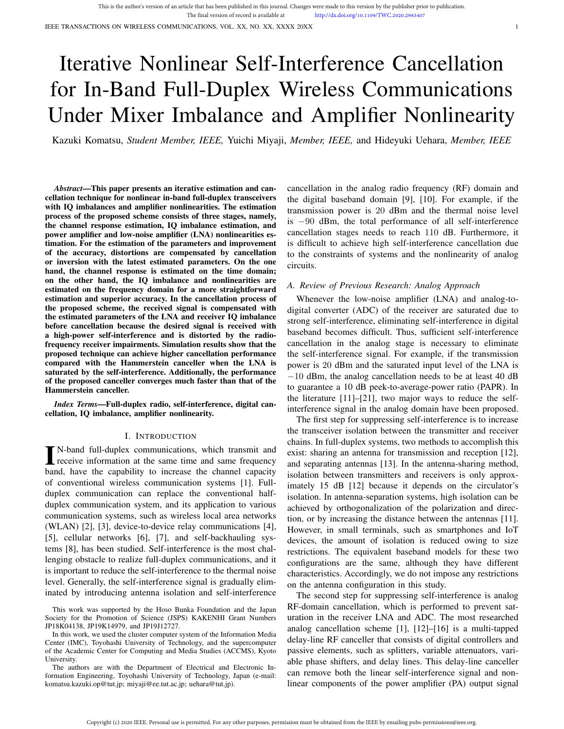IEEE TRANSACTIONS ON WIRELESS COMMUNICATIONS, VOL. XX, NO. XX, XXXX 20XX 1

# Iterative Nonlinear Self-Interference Cancellation for In-Band Full-Duplex Wireless Communications Under Mixer Imbalance and Amplifier Nonlinearity

Kazuki Komatsu, *Student Member, IEEE,* Yuichi Miyaji, *Member, IEEE,* and Hideyuki Uehara, *Member, IEEE*

*Abstract*—This paper presents an iterative estimation and cancellation technique for nonlinear in-band full-duplex transceivers with IQ imbalances and amplifier nonlinearities. The estimation process of the proposed scheme consists of three stages, namely, the channel response estimation, IQ imbalance estimation, and power amplifier and low-noise amplifier (LNA) nonlinearities estimation. For the estimation of the parameters and improvement of the accuracy, distortions are compensated by cancellation or inversion with the latest estimated parameters. On the one hand, the channel response is estimated on the time domain; on the other hand, the IQ imbalance and nonlinearities are estimated on the frequency domain for a more straightforward estimation and superior accuracy. In the cancellation process of the proposed scheme, the received signal is compensated with the estimated parameters of the LNA and receiver IQ imbalance before cancellation because the desired signal is received with a high-power self-interference and is distorted by the radiofrequency receiver impairments. Simulation results show that the proposed technique can achieve higher cancellation performance compared with the Hammerstein canceller when the LNA is saturated by the self-interference. Additionally, the performance of the proposed canceller converges much faster than that of the Hammerstein canceller.

*Index Terms*—Full-duplex radio, self-interference, digital cancellation, IQ imbalance, amplifier nonlinearity.

# I. INTRODUCTION

**I**N-band full-duplex communications, which transmit and receive information at the same time and same frequency N-band full-duplex communications, which transmit and band, have the capability to increase the channel capacity of conventional wireless communication systems [1]. Fullduplex communication can replace the conventional halfduplex communication system, and its application to various communication systems, such as wireless local area networks (WLAN) [2], [3], device-to-device relay communications [4], [5], cellular networks [6], [7], and self-backhauling systems [8], has been studied. Self-interference is the most challenging obstacle to realize full-duplex communications, and it is important to reduce the self-interference to the thermal noise level. Generally, the self-interference signal is gradually eliminated by introducing antenna isolation and self-interference

This work was supported by the Hoso Bunka Foundation and the Japan Society for the Promotion of Science (JSPS) KAKENHI Grant Numbers JP18K04138, JP19K14979, and JP19J12727.

In this work, we used the cluster computer system of the Information Media Center (IMC), Toyohashi University of Technology, and the supercomputer of the Academic Center for Computing and Media Studies (ACCMS), Kyoto University.

The authors are with the Department of Electrical and Electronic Information Engineering, Toyohashi University of Technology, Japan (e-mail: komatsu.kazuki.op@tut.jp; miyaji@ee.tut.ac.jp; uehara@tut.jp).

cancellation in the analog radio frequency (RF) domain and the digital baseband domain [9], [10]. For example, if the transmission power is 20 dBm and the thermal noise level is −90 dBm, the total performance of all self-interference cancellation stages needs to reach 110 dB. Furthermore, it is difficult to achieve high self-interference cancellation due to the constraints of systems and the nonlinearity of analog circuits.

#### *A. Review of Previous Research: Analog Approach*

Whenever the low-noise amplifier (LNA) and analog-todigital converter (ADC) of the receiver are saturated due to strong self-interference, eliminating self-interference in digital baseband becomes difficult. Thus, sufficient self-interference cancellation in the analog stage is necessary to eliminate the self-interference signal. For example, if the transmission power is 20 dBm and the saturated input level of the LNA is −10 dBm, the analog cancellation needs to be at least 40 dB to guarantee a 10 dB peek-to-average-power ratio (PAPR). In the literature [11]–[21], two major ways to reduce the selfinterference signal in the analog domain have been proposed.

The first step for suppressing self-interference is to increase the transceiver isolation between the transmitter and receiver chains. In full-duplex systems, two methods to accomplish this exist: sharing an antenna for transmission and reception [12], and separating antennas [13]. In the antenna-sharing method, isolation between transmitters and receivers is only approximately 15 dB [12] because it depends on the circulator's isolation. In antenna-separation systems, high isolation can be achieved by orthogonalization of the polarization and direction, or by increasing the distance between the antennas [11]. However, in small terminals, such as smartphones and IoT devices, the amount of isolation is reduced owing to size restrictions. The equivalent baseband models for these two configurations are the same, although they have different characteristics. Accordingly, we do not impose any restrictions on the antenna configuration in this study.

The second step for suppressing self-interference is analog RF-domain cancellation, which is performed to prevent saturation in the receiver LNA and ADC. The most researched analog cancellation scheme [1], [12]–[16] is a multi-tapped delay-line RF canceller that consists of digital controllers and passive elements, such as splitters, variable attenuators, variable phase shifters, and delay lines. This delay-line canceller can remove both the linear self-interference signal and nonlinear components of the power amplifier (PA) output signal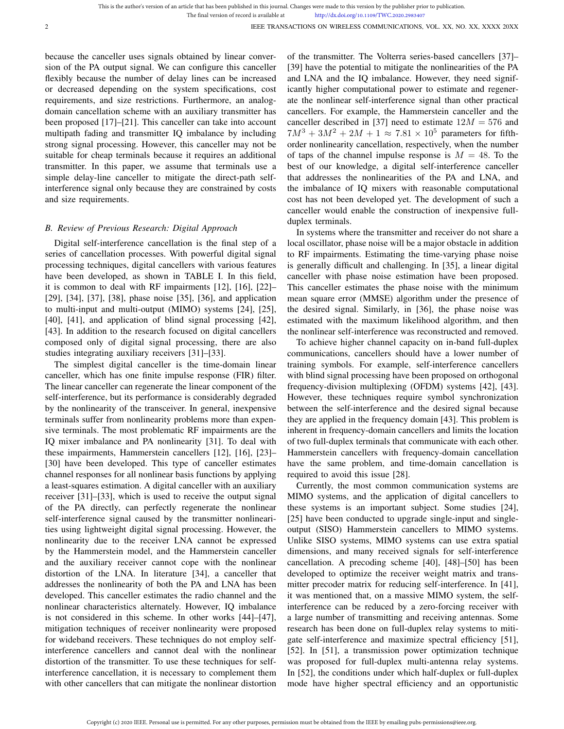The final version of record is available at http://dx.doi.org/10.1109/TWC.2020.2983407

because the canceller uses signals obtained by linear conversion of the PA output signal. We can configure this canceller flexibly because the number of delay lines can be increased or decreased depending on the system specifications, cost requirements, and size restrictions. Furthermore, an analogdomain cancellation scheme with an auxiliary transmitter has been proposed [17]–[21]. This canceller can take into account multipath fading and transmitter IQ imbalance by including strong signal processing. However, this canceller may not be suitable for cheap terminals because it requires an additional transmitter. In this paper, we assume that terminals use a simple delay-line canceller to mitigate the direct-path selfinterference signal only because they are constrained by costs and size requirements.

# *B. Review of Previous Research: Digital Approach*

Digital self-interference cancellation is the final step of a series of cancellation processes. With powerful digital signal processing techniques, digital cancellers with various features have been developed, as shown in TABLE I. In this field, it is common to deal with RF impairments [12], [16], [22]– [29], [34], [37], [38], phase noise [35], [36], and application to multi-input and multi-output (MIMO) systems [24], [25], [40], [41], and application of blind signal processing [42], [43]. In addition to the research focused on digital cancellers composed only of digital signal processing, there are also studies integrating auxiliary receivers [31]–[33].

The simplest digital canceller is the time-domain linear canceller, which has one finite impulse response (FIR) filter. The linear canceller can regenerate the linear component of the self-interference, but its performance is considerably degraded by the nonlinearity of the transceiver. In general, inexpensive terminals suffer from nonlinearity problems more than expensive terminals. The most problematic RF impairments are the IQ mixer imbalance and PA nonlinearity [31]. To deal with these impairments, Hammerstein cancellers [12], [16], [23]– [30] have been developed. This type of canceller estimates channel responses for all nonlinear basis functions by applying a least-squares estimation. A digital canceller with an auxiliary receiver [31]–[33], which is used to receive the output signal of the PA directly, can perfectly regenerate the nonlinear self-interference signal caused by the transmitter nonlinearities using lightweight digital signal processing. However, the nonlinearity due to the receiver LNA cannot be expressed by the Hammerstein model, and the Hammerstein canceller and the auxiliary receiver cannot cope with the nonlinear distortion of the LNA. In literature [34], a canceller that addresses the nonlinearity of both the PA and LNA has been developed. This canceller estimates the radio channel and the nonlinear characteristics alternately. However, IQ imbalance is not considered in this scheme. In other works [44]–[47], mitigation techniques of receiver nonlinearity were proposed for wideband receivers. These techniques do not employ selfinterference cancellers and cannot deal with the nonlinear distortion of the transmitter. To use these techniques for selfinterference cancellation, it is necessary to complement them with other cancellers that can mitigate the nonlinear distortion of the transmitter. The Volterra series-based cancellers [37]– [39] have the potential to mitigate the nonlinearities of the PA and LNA and the IQ imbalance. However, they need significantly higher computational power to estimate and regenerate the nonlinear self-interference signal than other practical cancellers. For example, the Hammerstein canceller and the canceller described in [37] need to estimate  $12M = 576$  and  $7M^3 + 3M^2 + 2M + 1 \approx 7.81 \times 10^5$  parameters for fifthorder nonlinearity cancellation, respectively, when the number of taps of the channel impulse response is  $M = 48$ . To the best of our knowledge, a digital self-interference canceller that addresses the nonlinearities of the PA and LNA, and the imbalance of IQ mixers with reasonable computational cost has not been developed yet. The development of such a canceller would enable the construction of inexpensive fullduplex terminals.

In systems where the transmitter and receiver do not share a local oscillator, phase noise will be a major obstacle in addition to RF impairments. Estimating the time-varying phase noise is generally difficult and challenging. In [35], a linear digital canceller with phase noise estimation have been proposed. This canceller estimates the phase noise with the minimum mean square error (MMSE) algorithm under the presence of the desired signal. Similarly, in [36], the phase noise was estimated with the maximum likelihood algorithm, and then the nonlinear self-interference was reconstructed and removed.

To achieve higher channel capacity on in-band full-duplex communications, cancellers should have a lower number of training symbols. For example, self-interference cancellers with blind signal processing have been proposed on orthogonal frequency-division multiplexing (OFDM) systems [42], [43]. However, these techniques require symbol synchronization between the self-interference and the desired signal because they are applied in the frequency domain [43]. This problem is inherent in frequency-domain cancellers and limits the location of two full-duplex terminals that communicate with each other. Hammerstein cancellers with frequency-domain cancellation have the same problem, and time-domain cancellation is required to avoid this issue [28].

Currently, the most common communication systems are MIMO systems, and the application of digital cancellers to these systems is an important subject. Some studies [24], [25] have been conducted to upgrade single-input and singleoutput (SISO) Hammerstein cancellers to MIMO systems. Unlike SISO systems, MIMO systems can use extra spatial dimensions, and many received signals for self-interference cancellation. A precoding scheme [40], [48]–[50] has been developed to optimize the receiver weight matrix and transmitter precoder matrix for reducing self-interference. In [41], it was mentioned that, on a massive MIMO system, the selfinterference can be reduced by a zero-forcing receiver with a large number of transmitting and receiving antennas. Some research has been done on full-duplex relay systems to mitigate self-interference and maximize spectral efficiency [51], [52]. In [51], a transmission power optimization technique was proposed for full-duplex multi-antenna relay systems. In [52], the conditions under which half-duplex or full-duplex mode have higher spectral efficiency and an opportunistic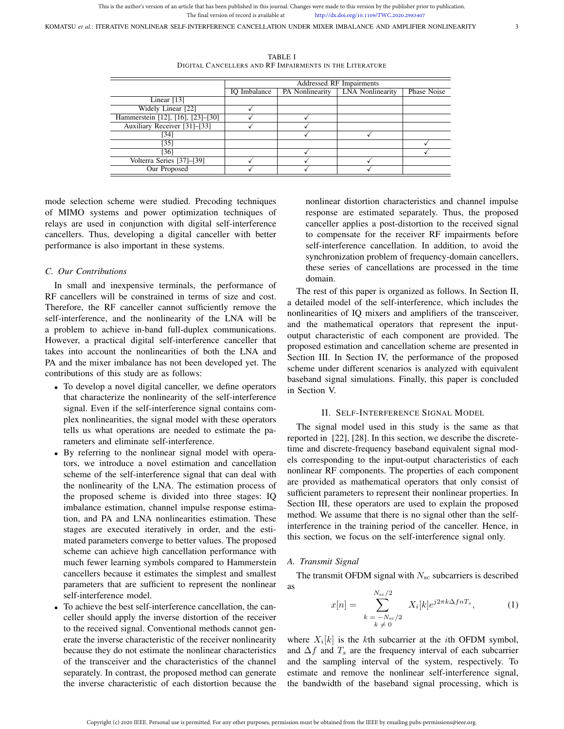|                                   | Addressed RF Impairments |                 |                         |             |
|-----------------------------------|--------------------------|-----------------|-------------------------|-------------|
|                                   | <b>IO</b> Imbalance      | PA Nonlinearity | <b>LNA</b> Nonlinearity | Phase Noise |
| Linear $[13]$                     |                          |                 |                         |             |
| Widely Linear [22]                |                          |                 |                         |             |
| Hammerstein [12], [16], [23]-[30] |                          |                 |                         |             |
| Auxiliary Receiver [31]-[33]      |                          |                 |                         |             |
| [34]                              |                          |                 |                         |             |
| [35]                              |                          |                 |                         |             |
| [36]                              |                          |                 |                         |             |
| Volterra Series [37]-[39]         |                          |                 |                         |             |
| Our Proposed                      |                          |                 |                         |             |
|                                   |                          |                 |                         |             |

TABLE I DIGITAL CANCELLERS AND RF IMPAIRMENTS IN THE LITERATURE

mode selection scheme were studied. Precoding techniques of MIMO systems and power optimization techniques of relays are used in conjunction with digital self-interference cancellers. Thus, developing a digital canceller with better performance is also important in these systems.

## *C. Our Contributions*

In small and inexpensive terminals, the performance of RF cancellers will be constrained in terms of size and cost. Therefore, the RF canceller cannot sufficiently remove the self-interference, and the nonlinearity of the LNA will be a problem to achieve in-band full-duplex communications. However, a practical digital self-interference canceller that takes into account the nonlinearities of both the LNA and PA and the mixer imbalance has not been developed yet. The contributions of this study are as follows:

- To develop a novel digital canceller, we define operators that characterize the nonlinearity of the self-interference signal. Even if the self-interference signal contains complex nonlinearities, the signal model with these operators tells us what operations are needed to estimate the parameters and eliminate self-interference.
- By referring to the nonlinear signal model with operators, we introduce a novel estimation and cancellation scheme of the self-interference signal that can deal with the nonlinearity of the LNA. The estimation process of the proposed scheme is divided into three stages: IQ imbalance estimation, channel impulse response estimation, and PA and LNA nonlinearities estimation. These stages are executed iteratively in order, and the estimated parameters converge to better values. The proposed scheme can achieve high cancellation performance with much fewer learning symbols compared to Hammerstein cancellers because it estimates the simplest and smallest parameters that are sufficient to represent the nonlinear self-interference model.
- To achieve the best self-interference cancellation, the canceller should apply the inverse distortion of the receiver to the received signal. Conventional methods cannot generate the inverse characteristic of the receiver nonlinearity because they do not estimate the nonlinear characteristics of the transceiver and the characteristics of the channel separately. In contrast, the proposed method can generate the inverse characteristic of each distortion because the

nonlinear distortion characteristics and channel impulse response are estimated separately. Thus, the proposed canceller applies a post-distortion to the received signal to compensate for the receiver RF impairments before self-interference cancellation. In addition, to avoid the synchronization problem of frequency-domain cancellers, these series of cancellations are processed in the time domain.

The rest of this paper is organized as follows. In Section II, a detailed model of the self-interference, which includes the nonlinearities of IQ mixers and amplifiers of the transceiver, and the mathematical operators that represent the inputoutput characteristic of each component are provided. The proposed estimation and cancellation scheme are presented in Section III. In Section IV, the performance of the proposed scheme under different scenarios is analyzed with equivalent baseband signal simulations. Finally, this paper is concluded in Section V.

#### II. SELF-INTERFERENCE SIGNAL MODEL

The signal model used in this study is the same as that reported in [22], [28]. In this section, we describe the discretetime and discrete-frequency baseband equivalent signal models corresponding to the input-output characteristics of each nonlinear RF components. The properties of each component are provided as mathematical operators that only consist of sufficient parameters to represent their nonlinear properties. In Section III, these operators are used to explain the proposed method. We assume that there is no signal other than the selfinterference in the training period of the canceller. Hence, in this section, we focus on the self-interference signal only.

### *A. Transmit Signal*

as

The transmit OFDM signal with  $N_{\rm sc}$  subcarriers is described

$$
x[n] = \sum_{\substack{k = -N_{\rm sc}/2\\k \neq 0}}^{N_{\rm sc}/2} X_i[k] e^{j2\pi k \Delta f n T_s}, \qquad (1)
$$

where  $X_i[k]$  is the kth subcarrier at the *i*th OFDM symbol, and  $\Delta f$  and  $T_s$  are the frequency interval of each subcarrier and the sampling interval of the system, respectively. To estimate and remove the nonlinear self-interference signal, the bandwidth of the baseband signal processing, which is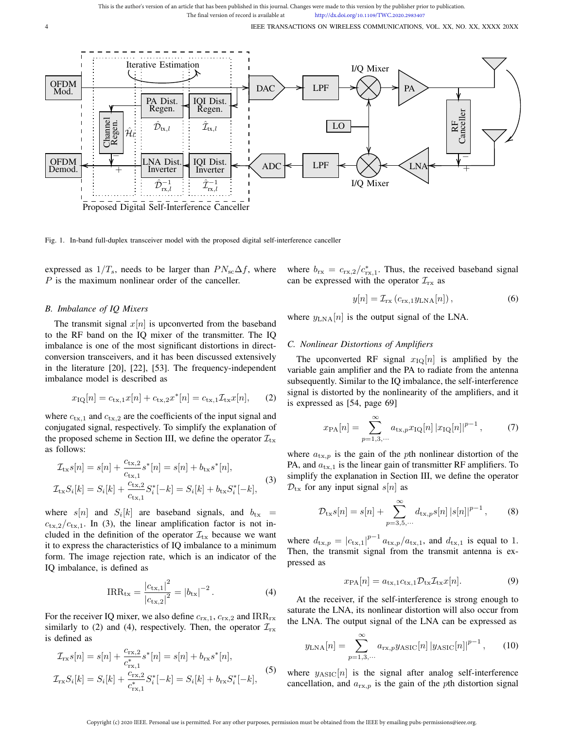

Fig. 1. In-band full-duplex transceiver model with the proposed digital self-interference canceller

expressed as  $1/T_s$ , needs to be larger than  $PN_{sc}\Delta f$ , where P is the maximum nonlinear order of the canceller.

# *B. Imbalance of IQ Mixers*

The transmit signal  $x[n]$  is upconverted from the baseband to the RF band on the IQ mixer of the transmitter. The IQ imbalance is one of the most significant distortions in directconversion transceivers, and it has been discussed extensively in the literature [20], [22], [53]. The frequency-independent imbalance model is described as

$$
x_{\rm IQ}[n] = c_{\rm tx,1} x[n] + c_{\rm tx,2} x^*[n] = c_{\rm tx,1} \mathcal{I}_{\rm tx} x[n],\qquad(2)
$$

where  $c_{\text{tx},1}$  and  $c_{\text{tx},2}$  are the coefficients of the input signal and conjugated signal, respectively. To simplify the explanation of the proposed scheme in Section III, we define the operator  $\mathcal{I}_{\text{tx}}$ as follows:

$$
\mathcal{I}_{\text{tx}}s[n] = s[n] + \frac{c_{\text{tx},2}}{c_{\text{tx},1}}s^*[n] = s[n] + b_{\text{tx}}s^*[n],
$$
  

$$
\mathcal{I}_{\text{tx}}S_i[k] = S_i[k] + \frac{c_{\text{tx},2}}{c_{\text{tx},1}}S_i^*[-k] = S_i[k] + b_{\text{tx}}S_i^*[-k],
$$
 (3)

where  $s[n]$  and  $S_i[k]$  are baseband signals, and  $b_{tx}$  =  $c_{\text{tx,2}}/c_{\text{tx,1}}$ . In (3), the linear amplification factor is not included in the definition of the operator  $\mathcal{I}_{tx}$  because we want it to express the characteristics of IQ imbalance to a minimum form. The image rejection rate, which is an indicator of the IQ imbalance, is defined as

$$
IRR_{tx} = \frac{|c_{tx,1}|^2}{|c_{tx,2}|^2} = |b_{tx}|^{-2}.
$$
 (4)

For the receiver IQ mixer, we also define  $c_{\text{rx},1}$ ,  $c_{\text{rx},2}$  and IRR<sub>rx</sub> similarly to (2) and (4), respectively. Then, the operator  $\mathcal{I}_{rx}$ is defined as

$$
\mathcal{I}_{rx} s[n] = s[n] + \frac{c_{rx,2}}{c_{rx,1}^*} s^*[n] = s[n] + b_{rx} s^*[n],
$$
  

$$
\mathcal{I}_{rx} S_i[k] = S_i[k] + \frac{c_{rx,2}}{c_{rx,1}^*} S_i^*[-k] = S_i[k] + b_{rx} S_i^*[-k],
$$
 (5)

where  $b_{\text{rx}} = c_{\text{rx},2}/c_{\text{rx},1}^*$ . Thus, the received baseband signal can be expressed with the operator  $\mathcal{I}_{r}$  as

$$
y[n] = \mathcal{I}_{\text{rx}}\left(c_{\text{rx},1}y_{\text{LNA}}[n]\right),\tag{6}
$$

where  $y_{\text{LNA}}[n]$  is the output signal of the LNA.

#### *C. Nonlinear Distortions of Amplifiers*

The upconverted RF signal  $x_{\text{IQ}}[n]$  is amplified by the variable gain amplifier and the PA to radiate from the antenna subsequently. Similar to the IQ imbalance, the self-interference signal is distorted by the nonlinearity of the amplifiers, and it is expressed as [54, page 69]

$$
x_{\rm PA}[n] = \sum_{p=1,3,\cdots}^{\infty} a_{\rm tx,p} x_{\rm IQ}[n] |x_{\rm IQ}[n]|^{p-1},\tag{7}
$$

where  $a_{\text{tx},p}$  is the gain of the pth nonlinear distortion of the PA, and  $a_{\text{tx},1}$  is the linear gain of transmitter RF amplifiers. To simplify the explanation in Section III, we define the operator  $\mathcal{D}_{\text{tx}}$  for any input signal  $s[n]$  as

$$
\mathcal{D}_{\text{tx}}s[n] = s[n] + \sum_{p=3,5,\cdots}^{\infty} d_{\text{tx},p}s[n] |s[n]|^{p-1}, \quad (8)
$$

where  $d_{\text{tx},p} = |c_{\text{tx},1}|^{p-1} a_{\text{tx},p}/a_{\text{tx},1}$ , and  $d_{\text{tx},1}$  is equal to 1. Then, the transmit signal from the transmit antenna is expressed as

$$
x_{\rm PA}[n] = a_{\rm tx,1} c_{\rm tx,1} \mathcal{D}_{\rm tx} \mathcal{I}_{\rm tx} x[n]. \tag{9}
$$

At the receiver, if the self-interference is strong enough to saturate the LNA, its nonlinear distortion will also occur from the LNA. The output signal of the LNA can be expressed as

$$
y_{\rm LNA}[n] = \sum_{p=1,3,\cdots}^{\infty} a_{\rm rx,p} y_{\rm ASIC}[n] |y_{\rm ASIC}[n]|^{p-1},\qquad(10)
$$

where  $y_{\text{ASIC}}[n]$  is the signal after analog self-interference cancellation, and  $a_{\text{rx},p}$  is the gain of the pth distortion signal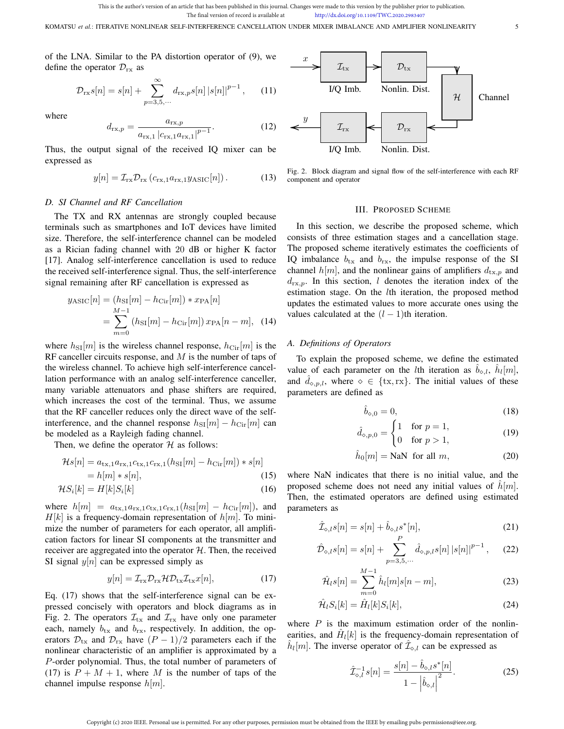This is the author's version of an article that has been published in this journal. Changes were made to this version by the publisher prior to publication The final version of record is available at http://dx.doi.org/10.1109/TWC.2020.2983407

KOMATSU et al.: ITERATIVE NONLINEAR SELF-INTERFERENCE CANCELLATION UNDER MIXER IMBALANCE AND AMPLIFIER NONLINEARITY 5

of the LNA. Similar to the PA distortion operator of (9), we define the operator  $\mathcal{D}_{rx}$  as

$$
\mathcal{D}_{\text{rx}}s[n] = s[n] + \sum_{p=3,5,\cdots}^{\infty} d_{\text{rx},p}s[n] \, |s[n]|^{p-1} \,, \qquad (11)
$$

where

$$
d_{\text{rx},p} = \frac{a_{\text{rx},p}}{a_{\text{rx},1} |c_{\text{rx},1} a_{\text{rx},1}|^{p-1}}.
$$
 (12)

Thus, the output signal of the received IQ mixer can be expressed as

$$
y[n] = \mathcal{I}_{\text{rx}} \mathcal{D}_{\text{rx}} \left( c_{\text{rx},1} a_{\text{rx},1} y_{\text{ASIC}}[n] \right). \tag{13}
$$

# *D. SI Channel and RF Cancellation*

The TX and RX antennas are strongly coupled because terminals such as smartphones and IoT devices have limited size. Therefore, the self-interference channel can be modeled as a Rician fading channel with 20 dB or higher K factor [17]. Analog self-interference cancellation is used to reduce the received self-interference signal. Thus, the self-interference signal remaining after RF cancellation is expressed as

$$
y_{\text{ASIC}}[n] = (h_{\text{SI}}[m] - h_{\text{Cir}}[m]) * x_{\text{PA}}[n]
$$
  
= 
$$
\sum_{m=0}^{M-1} (h_{\text{SI}}[m] - h_{\text{Cir}}[m]) x_{\text{PA}}[n-m], (14)
$$

where  $h_{\text{SI}}[m]$  is the wireless channel response,  $h_{\text{Cir}}[m]$  is the RF canceller circuits response, and  $M$  is the number of taps of the wireless channel. To achieve high self-interference cancellation performance with an analog self-interference canceller, many variable attenuators and phase shifters are required, which increases the cost of the terminal. Thus, we assume that the RF canceller reduces only the direct wave of the selfinterference, and the channel response  $h_{\text{SI}}[m] - h_{\text{Cir}}[m]$  can be modeled as a Rayleigh fading channel.

Then, we define the operator  $H$  as follows:

$$
\mathcal{H}s[n] = a_{\text{tx},1}a_{\text{rx},1}c_{\text{tx},1}c_{\text{rx},1}(h_{\text{SI}}[m] - h_{\text{Cir}}[m]) * s[n] = h[m] * s[n],
$$
\n(15)

$$
\mathcal{H}S_i[k] = H[k]S_i[k] \tag{16}
$$

where  $h[m] = a_{\text{tx},1}a_{\text{rx},1}c_{\text{tx},1}c_{\text{rx},1}(h_{\text{SI}}[m] - h_{\text{Cir}}[m]),$  and  $H[k]$  is a frequency-domain representation of  $h[m]$ . To minimize the number of parameters for each operator, all amplification factors for linear SI components at the transmitter and receiver are aggregated into the operator  $H$ . Then, the received SI signal  $y[n]$  can be expressed simply as

$$
y[n] = \mathcal{I}_{\text{rx}} \mathcal{D}_{\text{rx}} \mathcal{H} \mathcal{D}_{\text{tx}} \mathcal{I}_{\text{tx}} x[n], \tag{17}
$$

Eq. (17) shows that the self-interference signal can be expressed concisely with operators and block diagrams as in Fig. 2. The operators  $\mathcal{I}_{tx}$  and  $\mathcal{I}_{rx}$  have only one parameter each, namely  $b_{\text{tx}}$  and  $b_{\text{rx}}$ , respectively. In addition, the operators  $\mathcal{D}_{\text{tx}}$  and  $\mathcal{D}_{\text{rx}}$  have  $(P - 1)/2$  parameters each if the nonlinear characteristic of an amplifier is approximated by a P-order polynomial. Thus, the total number of parameters of (17) is  $P + M + 1$ , where M is the number of taps of the channel impulse response  $h[m]$ .



Fig. 2. Block diagram and signal flow of the self-interference with each RF component and operator

#### III. PROPOSED SCHEME

In this section, we describe the proposed scheme, which consists of three estimation stages and a cancellation stage. The proposed scheme iteratively estimates the coefficients of IQ imbalance  $b_{\text{tx}}$  and  $b_{\text{rx}}$ , the impulse response of the SI channel  $h[m]$ , and the nonlinear gains of amplifiers  $d_{\text{tx},p}$  and  $d_{\text{rx},p}$ . In this section, *l* denotes the iteration index of the estimation stage. On the lth iteration, the proposed method updates the estimated values to more accurate ones using the values calculated at the  $(l - 1)$ th iteration.

#### *A. Definitions of Operators*

To explain the proposed scheme, we define the estimated value of each parameter on the *l*th iteration as  $\hat{b}_{\diamond, l}$ ,  $\hat{h}_l[m]$ , and  $d_{\diamond, p,l}$ , where  $\diamond \in \{\text{tx}, \text{rx}\}\$ . The initial values of these parameters are defined as

$$
\hat{b}_{\diamond,0} = 0,\tag{18}
$$

$$
\hat{d}_{\diamond, p, 0} = \begin{cases} 1 & \text{for } p = 1, \\ 0 & \text{for } p > 1, \end{cases}
$$
 (19)

$$
\hat{h}_0[m] = \text{NaN} \quad \text{for all } m,\tag{20}
$$

where NaN indicates that there is no initial value, and the proposed scheme does not need any initial values of  $\hat{h}[m]$ . Then, the estimated operators are defined using estimated parameters as

$$
\hat{\mathcal{I}}_{\diamond, l} s[n] = s[n] + \hat{b}_{\diamond, l} s^*[n],\tag{21}
$$

$$
\hat{\mathcal{D}}_{\diamond, l} s[n] = s[n] + \sum_{p=3,5,\cdots}^{P} \hat{d}_{\diamond, p,l} s[n] \, |s[n]|^{p-1} \,, \tag{22}
$$

$$
\hat{\mathcal{H}}_l s[n] = \sum_{m=0}^{M-1} \hat{h}_l[m] s[n-m], \tag{23}
$$

$$
\hat{\mathcal{H}}_l S_i[k] = \hat{H}_l[k] S_i[k],\tag{24}
$$

where  $P$  is the maximum estimation order of the nonlinearities, and  $\hat{H}_{l}[k]$  is the frequency-domain representation of  $\hat{h}_l[m]$ . The inverse operator of  $\hat{\mathcal{I}}_{\diamond, l}$  can be expressed as

$$
\hat{\mathcal{I}}_{\diamond, l}^{-1} s[n] = \frac{s[n] - \hat{b}_{\diamond, l} s^*[n]}{1 - |\hat{b}_{\diamond, l}|^2}.
$$
\n(25)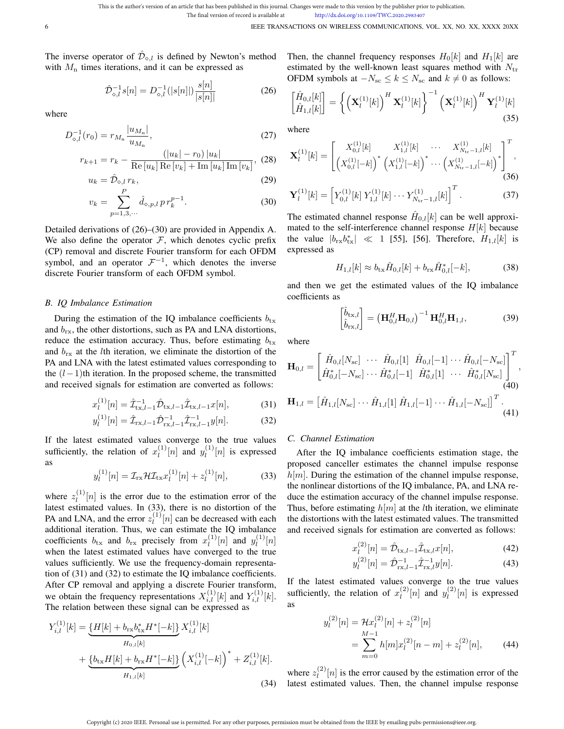The inverse operator of  $\hat{\mathcal{D}}_{\diamond, l}$  is defined by Newton's method with  $M_n$  times iterations, and it can be expressed as

$$
\hat{\mathcal{D}}_{\diamond, l}^{-1} s[n] = D_{\diamond, l}^{-1}(|s[n]|) \frac{s[n]}{|s[n]|} \tag{26}
$$

where

$$
D_{\circ,l}^{-1}(r_0) = r_{M_{\rm n}} \frac{|u_{M_{\rm n}}|}{u_{M_{\rm n}}},\tag{27}
$$

$$
r_{k+1} = r_k - \frac{(|u_k| - r_0) |u_k|}{\text{Re}[u_k] \text{Re}[v_k] + \text{Im}[u_k] \text{Im}[v_k]}, (28)
$$

$$
u_k = \hat{\mathcal{D}}_{\diamond, l} r_k, \tag{29}
$$

$$
v_k = \sum_{p=1,3,\cdots} \hat{d}_{\diamond,p,l} \, p \, r_k^{p-1}.
$$
 (30)

Detailed derivations of (26)–(30) are provided in Appendix A. We also define the operator  $F$ , which denotes cyclic prefix (CP) removal and discrete Fourier transform for each OFDM symbol, and an operator  $\mathcal{F}^{-1}$ , which denotes the inverse discrete Fourier transform of each OFDM symbol.

#### *B. IQ Imbalance Estimation*

 $\lambda$ 

During the estimation of the IQ imbalance coefficients  $b_{\text{tx}}$ and  $b_{\text{rx}}$ , the other distortions, such as PA and LNA distortions, reduce the estimation accuracy. Thus, before estimating  $b_{\text{tx}}$ and  $b_{rx}$  at the *l*th iteration, we eliminate the distortion of the PA and LNA with the latest estimated values corresponding to the  $(l-1)$ th iteration. In the proposed scheme, the transmitted and received signals for estimation are converted as follows:

$$
x_l^{(1)}[n] = \hat{\mathcal{I}}_{\text{tx},l-1}^{-1} \hat{\mathcal{D}}_{\text{tx},l-1} \hat{\mathcal{I}}_{\text{tx},l-1} x[n],\tag{31}
$$

$$
y_l^{(1)}[n] = \hat{\mathcal{I}}_{\text{rx},l-1} \hat{\mathcal{D}}_{\text{rx},l-1}^{-1} \hat{\mathcal{I}}_{\text{rx},l-1}^{-1} y[n]. \tag{32}
$$

If the latest estimated values converge to the true values sufficiently, the relation of  $x_l^{(1)}$  $\binom{1}{l}[n]$  and  $y_l^{(1)}$  $\binom{1}{l}$  [n] is expressed as

$$
y_l^{(1)}[n] = \mathcal{I}_{\text{rx}} \mathcal{H} \mathcal{I}_{\text{tx}} x_l^{(1)}[n] + z_l^{(1)}[n], \tag{33}
$$

where  $z_l^{(1)}$  $\binom{1}{l}[n]$  is the error due to the estimation error of the latest estimated values. In (33), there is no distortion of the PA and LNA, and the error  $z_l^{(1)}$  $\binom{1}{l}$  (n] can be decreased with each additional iteration. Thus, we can estimate the IQ imbalance coefficients  $b_{\text{tx}}$  and  $b_{\text{rx}}$  precisely from  $x_l^{(1)}$  $\binom{1}{l}[n]$  and  $y_l^{(1)}$  $\binom{1}{l} [n]$ when the latest estimated values have converged to the true values sufficiently. We use the frequency-domain representation of (31) and (32) to estimate the IQ imbalance coefficients. After CP removal and applying a discrete Fourier transform, we obtain the frequency representations  $X_{i,l}^{(1)}[k]$  and  $Y_{i,l}^{(1)}[k]$ . The relation between these signal can be expressed as

$$
Y_{i,l}^{(1)}[k] = \underbrace{\{H[k] + b_{\text{rx}}b_{\text{tx}}^*H^*[-k]\}}_{H_{0,l}[k]} X_{i,l}^{(1)}[k] + \underbrace{\{b_{\text{tx}}H[k] + b_{\text{rx}}H^*[-k]\}}_{H_{1,l}[k]} \left(X_{i,l}^{(1)}[-k]\right)^* + Z_{i,l}^{(1)}[k].
$$
\n(34)

Then, the channel frequency responses  $H_0[k]$  and  $H_1[k]$  are estimated by the well-known least squares method with  $N_{\text{tr}}$ OFDM symbols at  $-N<sub>sc</sub> \le k \le N<sub>sc</sub>$  and  $k \ne 0$  as follows:

$$
\begin{bmatrix} \hat{H}_{0,l}[k] \\ \hat{H}_{1,l}[k] \end{bmatrix} = \left\{ \left( \mathbf{X}_l^{(1)}[k] \right)^H \mathbf{X}_l^{(1)}[k] \right\}^{-1} \left( \mathbf{X}_l^{(1)}[k] \right)^H \mathbf{Y}_l^{(1)}[k] \tag{35}
$$

where

$$
\mathbf{X}_{l}^{(1)}[k] = \begin{bmatrix} X_{0,l}^{(1)}[k] & X_{1,l}^{(1)}[k] & \cdots & X_{N_{tr}-1,l}^{(1)}[k] \\ \left(X_{0,l}^{(1)}[-k]\right)^{*}\left(X_{1,l}^{(1)}[-k]\right)^{*} & \cdots & \left(X_{N_{tr}-1,l}^{(1)}[-k]\right)^{*} \end{bmatrix}^{T},
$$
\n(36)

$$
\mathbf{Y}_{l}^{(1)}[k] = \left[Y_{0,l}^{(1)}[k] \ Y_{1,l}^{(1)}[k] \cdots Y_{N_{\text{tr}}-1,l}^{(1)}[k]\right]^{T}.
$$
 (37)

The estimated channel response  $\hat{H}_{0,l}[k]$  can be well approximated to the self-interference channel response  $H[k]$  because the value  $|b_{rx}b_{tx}^*| \ll 1$  [55], [56]. Therefore,  $H_{1,l}[k]$  is expressed as

$$
H_{1,l}[k] \approx b_{\text{tx}} \hat{H}_{0,l}[k] + b_{\text{rx}} \hat{H}_{0,l}^{*}[-k], \tag{38}
$$

and then we get the estimated values of the IQ imbalance coefficients as

$$
\begin{bmatrix} \hat{b}_{\text{tx},l} \\ \hat{b}_{\text{rx},l} \end{bmatrix} = \left( \mathbf{H}_{0,l}^H \mathbf{H}_{0,l} \right)^{-1} \mathbf{H}_{0,l}^H \mathbf{H}_{1,l}, \tag{39}
$$

where

$$
\mathbf{H}_{0,l} = \begin{bmatrix} \hat{H}_{0,l}[N_{\rm sc}] & \cdots & \hat{H}_{0,l}[1] & \hat{H}_{0,l}[-1] & \cdots & \hat{H}_{0,l}[-N_{\rm sc}] \\ \hat{H}_{0,l}^{*}[-N_{\rm sc}] & \cdots & \hat{H}_{0,l}^{*}[-1] & \hat{H}_{0,l}^{*}[1] & \cdots & \hat{H}_{0,l}^{*}[N_{\rm sc}] \end{bmatrix}^{T},
$$
\n
$$
\mathbf{H}_{1,l} = \begin{bmatrix} \hat{H}_{1,l}[N_{\rm sc}] & \cdots & \hat{H}_{1,l}[1] & \hat{H}_{1,l}[-1] & \cdots & \hat{H}_{1,l}[-N_{\rm sc}] \end{bmatrix}^{T}.
$$
\n(40)

#### *C. Channel Estimation*

After the IQ imbalance coefficients estimation stage, the proposed canceller estimates the channel impulse response  $h[m]$ . During the estimation of the channel impulse response, the nonlinear distortions of the IQ imbalance, PA, and LNA reduce the estimation accuracy of the channel impulse response. Thus, before estimating  $h[m]$  at the *l*th iteration, we eliminate the distortions with the latest estimated values. The transmitted and received signals for estimation are converted as follows:

$$
x_l^{(2)}[n] = \hat{\mathcal{D}}_{\text{tx},l-1} \hat{\mathcal{I}}_{\text{tx},l} x[n],\tag{42}
$$

$$
y_l^{(2)}[n] = \hat{\mathcal{D}}_{\text{rx},l-1}^{-1} \hat{\mathcal{I}}_{\text{rx},l}^{-1} y[n]. \tag{43}
$$

If the latest estimated values converge to the true values sufficiently, the relation of  $x_i^{(2)}$  $\binom{2}{l}[n]$  and  $y_l^{(2)}$  $\binom{[2]}{l}$  is expressed as

$$
y_l^{(2)}[n] = \mathcal{H}x_l^{(2)}[n] + z_l^{(2)}[n]
$$
  
= 
$$
\sum_{m=0}^{M-1} h[m]x_l^{(2)}[n-m] + z_l^{(2)}[n],
$$
 (44)

where  $z_l^{(2)}$  $\binom{1}{l}[n]$  is the error caused by the estimation error of the latest estimated values. Then, the channel impulse response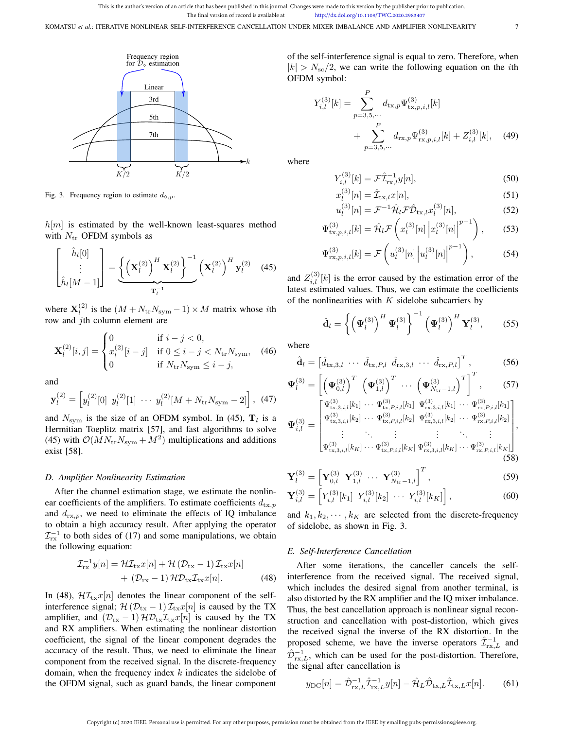KOMATSU et al.: ITERATIVE NONLINEAR SELF-INTERFERENCE CANCELLATION UNDER MIXER IMBALANCE AND AMPLIFIER NONLINEARITY 7



Fig. 3. Frequency region to estimate  $d_{\diamond, p}$ .

 $h[m]$  is estimated by the well-known least-squares method with  $N_{\text{tr}}$  OFDM symbols as

$$
\begin{bmatrix} \hat{h}_l[0] \\ \vdots \\ \hat{h}_l[M-1] \end{bmatrix} = \underbrace{\left\{ \left( \mathbf{X}_l^{(2)} \right)^H \mathbf{X}_l^{(2)} \right\}^{-1}}_{\mathbf{T}_l^{-1}} \left( \mathbf{X}_l^{(2)} \right)^H \mathbf{y}_l^{(2)} \quad (45)
$$

where  $X_l^{(2)}$  $\binom{1}{l}$  is the  $(M + N_{\text{tr}}N_{\text{sym}} - 1) \times M$  matrix whose *i*th row and jth column element are

$$
\mathbf{X}_{l}^{(2)}[i,j] = \begin{cases} 0 & \text{if } i - j < 0, \\ x_{l}^{(2)}[i - j] & \text{if } 0 \le i - j < N_{\text{tr}}N_{\text{sym}}, \\ 0 & \text{if } N_{\text{tr}}N_{\text{sym}} \le i - j, \end{cases}
$$
(46)

and

$$
\mathbf{y}_{l}^{(2)} = \left[ y_{l}^{(2)}[0] \ y_{l}^{(2)}[1] \ \cdots \ y_{l}^{(2)}[M + N_{\rm tr}N_{\rm sym} - 2] \right], \ (47)
$$

and  $N_{sym}$  is the size of an OFDM symbol. In (45),  $T_l$  is a Hermitian Toeplitz matrix [57], and fast algorithms to solve (45) with  $\mathcal{O}(MN_{\text{tr}}N_{\text{sym}}+M^2)$  multiplications and additions exist [58].

#### *D. Amplifier Nonlinearity Estimation*

After the channel estimation stage, we estimate the nonlinear coefficients of the amplifiers. To estimate coefficients  $d_{\text{tx},p}$ and  $d_{\text{rx},p}$ , we need to eliminate the effects of IQ imbalance to obtain a high accuracy result. After applying the operator  $\mathcal{I}_{r}^{-1}$  to both sides of (17) and some manipulations, we obtain the following equation:

$$
\mathcal{I}_{\text{rx}}^{-1}y[n] = \mathcal{H}\mathcal{I}_{\text{tx}}x[n] + \mathcal{H}\left(\mathcal{D}_{\text{tx}} - 1\right)\mathcal{I}_{\text{tx}}x[n] + \left(\mathcal{D}_{\text{rx}} - 1\right)\mathcal{H}\mathcal{D}_{\text{tx}}\mathcal{I}_{\text{tx}}x[n].
$$
 (48)

In (48),  $\mathcal{H} \mathcal{I}_{tx}$   $x[n]$  denotes the linear component of the selfinterference signal;  $\mathcal{H}(\mathcal{D}_{tx} - 1) \mathcal{I}_{tx} [n]$  is caused by the TX amplifier, and  $(\mathcal{D}_{rx} - 1) \mathcal{HD}_{tx} \mathcal{I}_{tx} x[n]$  is caused by the TX and RX amplifiers. When estimating the nonlinear distortion coefficient, the signal of the linear component degrades the accuracy of the result. Thus, we need to eliminate the linear component from the received signal. In the discrete-frequency domain, when the frequency index  $k$  indicates the sidelobe of the OFDM signal, such as guard bands, the linear component of the self-interference signal is equal to zero. Therefore, when  $|k| > N<sub>sc</sub>/2$ , we can write the following equation on the *i*th OFDM symbol:

$$
Y_{i,l}^{(3)}[k] = \sum_{p=3,5,\dots}^{P} d_{\text{tx},p} \Psi_{\text{tx},p,i,l}^{(3)}[k] + \sum_{p=3,5,\dots}^{P} d_{\text{rx},p} \Psi_{\text{rx},p,i,l}^{(3)}[k] + Z_{i,l}^{(3)}[k], \quad (49)
$$

where

$$
Y_{i,l}^{(3)}[k] = \mathcal{F} \hat{\mathcal{I}}_{\text{rx},l}^{-1} y[n],\tag{50}
$$

$$
x_l^{(3)}[n] = \hat{\mathcal{I}}_{\text{tx},l} x[n],\tag{51}
$$

$$
u_l^{(3)}[n] = \mathcal{F}^{-1} \hat{\mathcal{H}}_l \mathcal{F} \hat{\mathcal{D}}_{\text{tx},l} x_l^{(3)}[n],\tag{52}
$$
  
3) 
$$
u_l = \hat{\mathcal{H}} \mathcal{F} \left( \begin{array}{c} (3)_{l-1} | (3)_{l-1} |^{p-1} \end{array} \right) \tag{52}
$$

$$
\Psi_{\text{tx},p,i,l}^{(3)}[k] = \hat{\mathcal{H}}_l \mathcal{F}\left(x_l^{(3)}[n] \left|x_l^{(3)}[n]\right|^{p-1}\right),\qquad(53)
$$

$$
\Psi_{\text{rx},p,i,l}^{(3)}[k] = \mathcal{F}\left(u_l^{(3)}[n] \left| u_l^{(3)}[n] \right|^{p-1}\right),\tag{54}
$$

and  $Z_{i,l}^{(3)}[k]$  is the error caused by the estimation error of the latest estimated values. Thus, we can estimate the coefficients of the nonlinearities with  $K$  sidelobe subcarriers by

$$
\hat{\mathbf{d}}_l = \left\{ \left( \boldsymbol{\Psi}_l^{(3)} \right)^H \boldsymbol{\Psi}_l^{(3)} \right\}^{-1} \left( \boldsymbol{\Psi}_l^{(3)} \right)^H \mathbf{Y}_l^{(3)}, \qquad (55)
$$

where

$$
\hat{\mathbf{d}}_l = \begin{bmatrix} \hat{d}_{\text{tx},3,l} & \cdots & \hat{d}_{\text{tx},P,l} & \hat{d}_{\text{rx},3,l} & \cdots & \hat{d}_{\text{rx},P,l} \end{bmatrix}^T, \tag{56}
$$

$$
\Psi_{l}^{(3)} = \left[ \left( \Psi_{0,l}^{(3)} \right)^{T} \left( \Psi_{1,l}^{(3)} \right)^{T} \cdots \left( \Psi_{N_{\text{tr}}-1,l}^{(3)} \right)^{T} \right]^{T}, \qquad (57)
$$
\n
$$
\Psi_{\text{tx},3,i,l}^{(3)}[k_{1}] \cdots \Psi_{\text{tx},P,i,l}^{(3)}[k_{1}] \Psi_{\text{rx},3,i,l}^{(3)}[k_{1}] \cdots \Psi_{\text{rx},P,i,l}^{(3)}[k_{1}]
$$
\n
$$
\Psi_{\text{tx},3,i,l}^{(3)}[k_{2}] \cdots \Psi_{\text{tx},P,i,l}^{(3)}[k_{2}] \Psi_{\text{rx},3,i,l}^{(3)}[k_{2}] \cdots \Psi_{\text{rx},P,i,l}^{(3)}[k_{2}] \right]
$$

$$
\Psi_{i,l}^{(3)} = \begin{bmatrix} \Psi_{\text{tx},3,i,l}^{(3)}[k_2] & \cdots & \Psi_{\text{tx},P,i,l}^{(3)}[k_2] & \Psi_{\text{rx},3,i,l}^{(3)}[k_2] & \cdots & \Psi_{\text{rx},P,i,l}^{(3)}[k_2] \\ \vdots & \vdots & \vdots & \vdots & \vdots \\ \Psi_{\text{tx},3,i,l}^{(3)}[k_K] & \cdots & \Psi_{\text{tx},P,i,l}^{(3)}[k_K] & \Psi_{\text{rx},3,i,l}^{(3)}[k_K] & \cdots & \Psi_{\text{rx},P,i,l}^{(3)}[k_K] \end{bmatrix},
$$
\n(58)

$$
\mathbf{Y}_{l}^{(3)} = \left[ \mathbf{Y}_{0,l}^{(3)} \ \mathbf{Y}_{1,l}^{(3)} \ \cdots \ \mathbf{Y}_{N_{\text{tr}}-1,l}^{(3)} \right]^{T},\tag{59}
$$

$$
\mathbf{Y}_{i,l}^{(3)} = \left[ Y_{i,l}^{(3)}[k_1] \ Y_{i,l}^{(3)}[k_2] \ \cdots \ Y_{i,l}^{(3)}[k_K] \right],\tag{60}
$$

and  $k_1, k_2, \dots, k_K$  are selected from the discrete-frequency of sidelobe, as shown in Fig. 3.

# *E. Self-Interference Cancellation*

After some iterations, the canceller cancels the selfinterference from the received signal. The received signal, which includes the desired signal from another terminal, is also distorted by the RX amplifier and the IQ mixer imbalance. Thus, the best cancellation approach is nonlinear signal reconstruction and cancellation with post-distortion, which gives the received signal the inverse of the RX distortion. In the proposed scheme, we have the inverse operators  $\hat{\mathcal{I}}_{rx,L}^{-1}$  and  $\hat{\mathcal{D}}^{-1}_{\text{rx},L}$ , which can be used for the post-distortion. Therefore, the signal after cancellation is

$$
y_{\rm DC}[n] = \hat{\mathcal{D}}_{\rm rx, L}^{-1} \hat{\mathcal{I}}_{\rm rx, L}^{-1} y[n] - \hat{\mathcal{H}}_L \hat{\mathcal{D}}_{\rm tx, L} \hat{\mathcal{I}}_{\rm tx, L} x[n]. \tag{61}
$$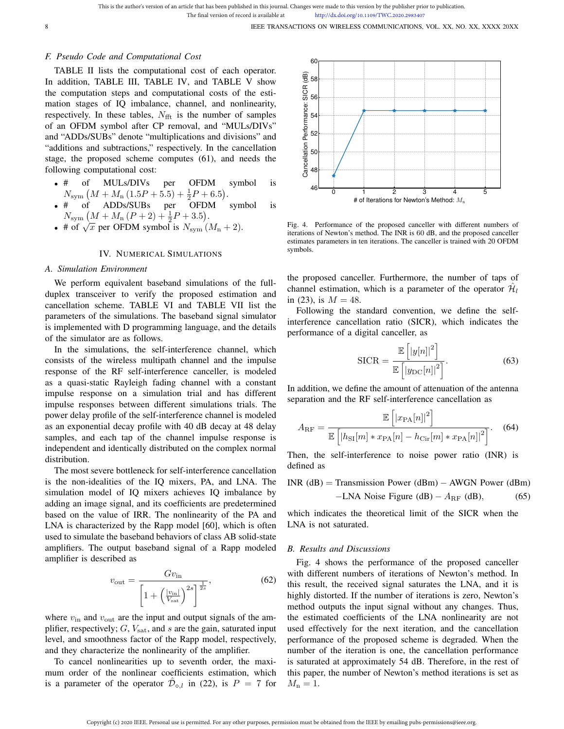# *F. Pseudo Code and Computational Cost*

TABLE II lists the computational cost of each operator. In addition, TABLE III, TABLE IV, and TABLE V show the computation steps and computational costs of the estimation stages of IQ imbalance, channel, and nonlinearity, respectively. In these tables,  $N_{\text{fft}}$  is the number of samples of an OFDM symbol after CP removal, and "MULs/DIVs" and "ADDs/SUBs" denote "multiplications and divisions" and "additions and subtractions," respectively. In the cancellation stage, the proposed scheme computes (61), and needs the following computational cost:

- # of MULs/DIVs per OFDM symbol is  $N_{\text{sym}} (M + M_{\text{n}} (1.5P + 5.5) + \frac{1}{2}P + 6.5).$
- $\bullet$  # of ADDs/SUBs per OFDM symbol is  $N_{\rm sym} \left( M + M_{\rm n} \left( P + 2 \right) + \frac{1}{2} P + 3.5 \right)$ .
- $i^{\text{N}}$ sym  $\left(\frac{M}{\alpha} + M_n \left(1 + 2\right) + \frac{1}{2}I + 3.3\right)$ .<br>
# of  $\sqrt{x}$  per OFDM symbol is  $N_{\text{sym}} (M_n + 2)$ .

# IV. NUMERICAL SIMULATIONS

#### *A. Simulation Environment*

We perform equivalent baseband simulations of the fullduplex transceiver to verify the proposed estimation and cancellation scheme. TABLE VI and TABLE VII list the parameters of the simulations. The baseband signal simulator is implemented with D programming language, and the details of the simulator are as follows.

In the simulations, the self-interference channel, which consists of the wireless multipath channel and the impulse response of the RF self-interference canceller, is modeled as a quasi-static Rayleigh fading channel with a constant impulse response on a simulation trial and has different impulse responses between different simulations trials. The power delay profile of the self-interference channel is modeled as an exponential decay profile with 40 dB decay at 48 delay samples, and each tap of the channel impulse response is independent and identically distributed on the complex normal distribution.

The most severe bottleneck for self-interference cancellation is the non-idealities of the IQ mixers, PA, and LNA. The simulation model of IQ mixers achieves IQ imbalance by adding an image signal, and its coefficients are predetermined based on the value of IRR. The nonlinearity of the PA and LNA is characterized by the Rapp model [60], which is often used to simulate the baseband behaviors of class AB solid-state amplifiers. The output baseband signal of a Rapp modeled amplifier is described as

$$
v_{\text{out}} = \frac{Gv_{\text{in}}}{\left[1 + \left(\frac{|v_{\text{in}}|}{V_{\text{sat}}}\right)^{2s}\right]^{\frac{1}{2s}}},\tag{62}
$$

where  $v_{\text{in}}$  and  $v_{\text{out}}$  are the input and output signals of the amplifier, respectively;  $G, V_{\text{sat}}$ , and s are the gain, saturated input level, and smoothness factor of the Rapp model, respectively, and they characterize the nonlinearity of the amplifier.

To cancel nonlinearities up to seventh order, the maximum order of the nonlinear coefficients estimation, which is a parameter of the operator  $\hat{\mathcal{D}}_{\diamond, l}$  in (22), is  $P = 7$  for



Fig. 4. Performance of the proposed canceller with different numbers of iterations of Newton's method. The INR is 60 dB, and the proposed canceller estimates parameters in ten iterations. The canceller is trained with 20 OFDM symbols.

the proposed canceller. Furthermore, the number of taps of channel estimation, which is a parameter of the operator  $\hat{\mathcal{H}}_l$ in (23), is  $M = 48$ .

Following the standard convention, we define the selfinterference cancellation ratio (SICR), which indicates the performance of a digital canceller, as

$$
\text{SICR} = \frac{\mathbb{E}\left[|y[n]|^2\right]}{\mathbb{E}\left[|y_{\text{DC}}[n]|^2\right]}.\tag{63}
$$

In addition, we define the amount of attenuation of the antenna separation and the RF self-interference cancellation as

$$
A_{\rm RF} = \frac{\mathbb{E}\left[|x_{\rm PA}[n]|^2\right]}{\mathbb{E}\left[|h_{\rm SI}[m] * x_{\rm PA}[n] - h_{\rm Cir}[m] * x_{\rm PA}[n]|^2\right]}.
$$
 (64)

Then, the self-interference to noise power ratio (INR) is defined as

INR (dB) = Transmission Power (dBm) – AWGN Power (dBm)  
–LNA Noise Figure (dB) – 
$$
A_{\text{RF}}
$$
 (dB), (65)

which indicates the theoretical limit of the SICR when the LNA is not saturated.

#### *B. Results and Discussions*

Fig. 4 shows the performance of the proposed canceller with different numbers of iterations of Newton's method. In this result, the received signal saturates the LNA, and it is highly distorted. If the number of iterations is zero, Newton's method outputs the input signal without any changes. Thus, the estimated coefficients of the LNA nonlinearity are not used effectively for the next iteration, and the cancellation performance of the proposed scheme is degraded. When the number of the iteration is one, the cancellation performance is saturated at approximately 54 dB. Therefore, in the rest of this paper, the number of Newton's method iterations is set as  $M_{\rm n}=1.$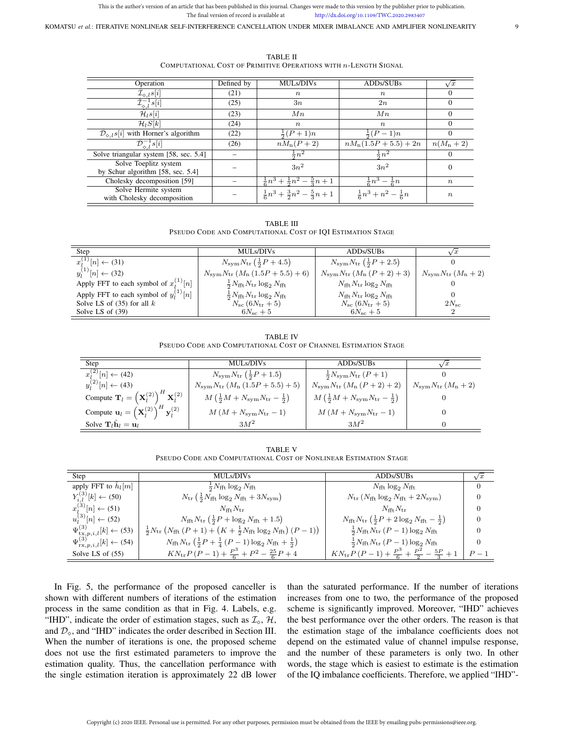| TABLE II                                                        |
|-----------------------------------------------------------------|
| COMPUTATIONAL COST OF PRIMITIVE OPERATIONS WITH n-LENGTH SIGNAL |
|                                                                 |

| Operation                                                  | Defined by | MULs/DIVs                                            | ADDs/SUBs                             | $\sqrt{x}$       |
|------------------------------------------------------------|------------|------------------------------------------------------|---------------------------------------|------------------|
| $\mathcal{I}_{\diamond, l} s[i]$                           | (21)       | $\boldsymbol{n}$                                     | $\boldsymbol{n}$                      | $\theta$         |
| $\tilde{\mathcal{I}}_{\diamond, l}^{-1} s[i]$              | (25)       | 3n                                                   | 2n                                    | $\Omega$         |
| $\hat{\mathcal{H}}_l s[i]$                                 | (23)       | Mn                                                   | Mn                                    | $\Omega$         |
| $\mathcal{H}_l S[k]$                                       | (24)       | $\boldsymbol{n}$                                     | $\boldsymbol{n}$                      | $\Omega$         |
| $\mathcal{D}_{\diamond l} s[i]$ with Horner's algorithm    | (22)       | $rac{1}{2}(P+1)n$                                    | $(P-1)n$                              | $\Omega$         |
| $\mathcal{D}_{\alpha l}^{-1} s[i]$                         | (26)       | $nM_{\rm n}(P+2)$                                    | $nM_n(1.5P+5.5)+2n$                   | $n(M_n+2)$       |
| Solve triangular system [58, sec. 5.4]                     |            | $\frac{1}{2}n^2$                                     | $\frac{1}{2}n^2$                      | $_{0}$           |
| Solve Toeplitz system<br>by Schur algorithm [58, sec. 5.4] |            | $3n^2$                                               | $3n^2$                                | $\Omega$         |
| Cholesky decomposition [59]                                |            | $\frac{1}{6}n^3 + \frac{1}{2}n^2 - \frac{5}{2}n + 1$ | $\frac{1}{6}n^3 - \frac{1}{6}n$       | $\boldsymbol{n}$ |
| Solve Hermite system<br>with Cholesky decomposition        |            | $\frac{1}{6}n^3 + \frac{3}{2}n^2 - \frac{5}{3}n + 1$ | $\frac{1}{6}n^3 + n^2 - \frac{1}{6}n$ | $\boldsymbol{n}$ |

TABLE III PSEUDO CODE AND COMPUTATIONAL COST OF IQI ESTIMATION STAGE

| <b>Step</b>                                | MULs/DIVs                                                            | ADDs/SUBs                                            |                                         |
|--------------------------------------------|----------------------------------------------------------------------|------------------------------------------------------|-----------------------------------------|
| $x_1^{(1)}[n] \leftarrow (31)$             | $N_{\rm sym}N_{\rm tr}(\frac{1}{2}P+4.5)$                            | $N_{\rm sym}N_{\rm tr}(\frac{1}{2}P+2.5)$            |                                         |
| $y_l^{(1)}[n] \leftarrow (32)$             | $N_{\rm sym}N_{\rm tr}\left(M_{\rm n}\left(1.5P+5.5\right)+6\right)$ | $N_{\rm sym}N_{\rm tr}(M_{\rm n}(P+2)+3)$            | $N_{\rm{sym}}N_{\rm{tr}}(M_{\rm{n}}+2)$ |
| Apply FFT to each symbol of $x_i^{(1)}[n]$ | $\frac{1}{2}N_{\text{fft}}N_{\text{tr}}\log_2 N_{\text{fft}}$        | $N_{\text{fft}}N_{\text{tr}}\log_2 N_{\text{fft}}$   |                                         |
| Apply FFT to each symbol of $y_l^{(1)}[n]$ | $\frac{1}{2}N_{\text{fft}}N_{\text{tr}}\log_2 N_{\text{fft}}$        | $N_{\text{fft}} N_{\text{tr}} \log_2 N_{\text{fft}}$ | 0                                       |
| Solve LS of $(35)$ for all k               | $N_{\rm sc} (6N_{\rm tr} + 5)$                                       | $N_{\rm sc}$ (6 $N_{\rm tr}$ + 5)                    | $2N_{\rm sc}$                           |
| Solve LS of $(39)$                         | $6N_{\rm sc}+5$                                                      | $6N_{\rm sc}+5$                                      | റ                                       |

TABLE IV PSEUDO CODE AND COMPUTATIONAL COST OF CHANNEL ESTIMATION STAGE

| Step                                                                          | MULs/DIVs                                                            | ADDs/SUBs                                                          |                                                 |
|-------------------------------------------------------------------------------|----------------------------------------------------------------------|--------------------------------------------------------------------|-------------------------------------------------|
| $\overline{x_l^{(2)}[n]} \leftarrow (42)$                                     | $N_{\rm sym} N_{\rm tr} (\frac{1}{2} P + 1.5)$                       | $\frac{1}{2}N_{\rm sym}N_{\rm tr}(P+1)$                            |                                                 |
| $y_l^{(2)}[n] \leftarrow (43)$                                                | $N_{\rm sym}N_{\rm tr}\left(M_{\rm n}\left(1.5P+5.5\right)+5\right)$ | $N_{\rm sym}N_{\rm tr}\left(M_{\rm n}\left(P+2\right)+2\right)$    | $N_{\rm sym}N_{\rm tr}\left(M_{\rm n}+2\right)$ |
| Compute $\mathbf{T}_l = \left(\mathbf{X}_l^{(2)}\right)^H \mathbf{X}_l^{(2)}$ | $M\left(\frac{1}{2}M + N_{\rm sym}N_{\rm tr} - \frac{1}{2}\right)$   | $M\left(\frac{1}{2}M + N_{\rm sym}N_{\rm tr} - \frac{1}{2}\right)$ |                                                 |
| Compute $\mathbf{u}_l = \left(\mathbf{X}_l^{(2)}\right)^H \mathbf{y}_l^{(2)}$ | $M (M + N_{sym} N_{tr} - 1)$                                         | $M(M+N_{\rm sym}N_{\rm tr}-1)$                                     |                                                 |
| Solve $\mathbf{T}_l \hat{\mathbf{h}}_l = \mathbf{u}_l$                        | $3M^2$                                                               | $3M^2$                                                             |                                                 |

TABLE V PSEUDO CODE AND COMPUTATIONAL COST OF NONLINEAR ESTIMATION STAGE

| Step                                                   | MULs/DIVs                                                                                                                              | ADDs/SUBs                                                                                     | $\sqrt{x}$     |
|--------------------------------------------------------|----------------------------------------------------------------------------------------------------------------------------------------|-----------------------------------------------------------------------------------------------|----------------|
| apply FFT to $\hat{h}_l[m]$                            | $\frac{1}{2}N_{\text{fft}}\log_2 N_{\text{fft}}$                                                                                       | $N_{\text{fft}} \log_2 N_{\text{fft}}$                                                        | 0              |
| $Y_{i\ l}^{(3)}[k] \leftarrow (50)$                    | $N_{\rm tr} \left( \frac{1}{2} N_{\rm fft} \log_2 N_{\rm fft} + 3 N_{\rm sym} \right)$                                                 | $N_{\rm tr} (N_{\rm fft} \log_2 N_{\rm fft} + 2 N_{\rm sym})$                                 | $\overline{0}$ |
| $x_1^{(3)}[n] \leftarrow (51)$                         | $N_{\rm fft}N_{\rm tr}$                                                                                                                | $N_{\text{fft}}N_{\text{tr}}$                                                                 | $\theta$       |
| $u_1^{(3)}[n] \leftarrow (52)$                         | $N_{\text{fft}} N_{\text{tr}} (\frac{1}{2}P + \log_2 N_{\text{fft}} + 1.5)$                                                            | $N_{\text{fft}}N_{\text{tr}}\left(\frac{1}{2}P + 2\log_2 N_{\text{fft}} - \frac{1}{2}\right)$ | $\Omega$       |
| $\Psi_{\text{tx},p,i,l}^{(3)}[k] \leftarrow (53)$      | $\frac{1}{2}N_{\rm tr}\left(N_{\rm fft}\left(P+1\right)+\left(K+\frac{1}{2}N_{\rm fft}\log_2N_{\rm fft}\right)\left(P-1\right)\right)$ | $\frac{1}{2}N_{\text{fft}}N_{\text{tr}}(P-1)\log_2 N_{\text{fft}}$                            | $\theta$       |
| $\Psi_{\text{rx},p,i,l}^{(3)}[k] \leftarrow (54)^{-1}$ | $N_{\text{fft}}N_{\text{tr}}\left(\frac{1}{2}P+\frac{1}{4}\left(P-1\right)\log_{2}N_{\text{fft}}+\frac{1}{2}\right)$                   | $\frac{1}{2}N_{\text{fft}}N_{\text{tr}}(P-1)\log_2 N_{\text{fft}}$                            | $\Omega$       |
| Solve LS of $(55)$                                     | $KN_{\text{tr}}P(P-1)+\frac{P^3}{6}+P^2-\frac{25}{6}P+4$                                                                               | $KN_{\text{tr}}P(P-1)+\frac{P^3}{6}+\frac{P^2}{2}-\frac{5P}{2}+1$                             | $P =$          |

In Fig. 5, the performance of the proposed canceller is shown with different numbers of iterations of the estimation process in the same condition as that in Fig. 4. Labels, e.g. "IHD", indicate the order of estimation stages, such as  $\mathcal{I}_{\diamond}$ ,  $\mathcal{H}$ , and  $\mathcal{D}_{\diamond}$ , and "IHD" indicates the order described in Section III. When the number of iterations is one, the proposed scheme does not use the first estimated parameters to improve the estimation quality. Thus, the cancellation performance with the single estimation iteration is approximately 22 dB lower than the saturated performance. If the number of iterations increases from one to two, the performance of the proposed scheme is significantly improved. Moreover, "IHD" achieves the best performance over the other orders. The reason is that the estimation stage of the imbalance coefficients does not depend on the estimated value of channel impulse response, and the number of these parameters is only two. In other words, the stage which is easiest to estimate is the estimation of the IQ imbalance coefficients. Therefore, we applied "IHD"-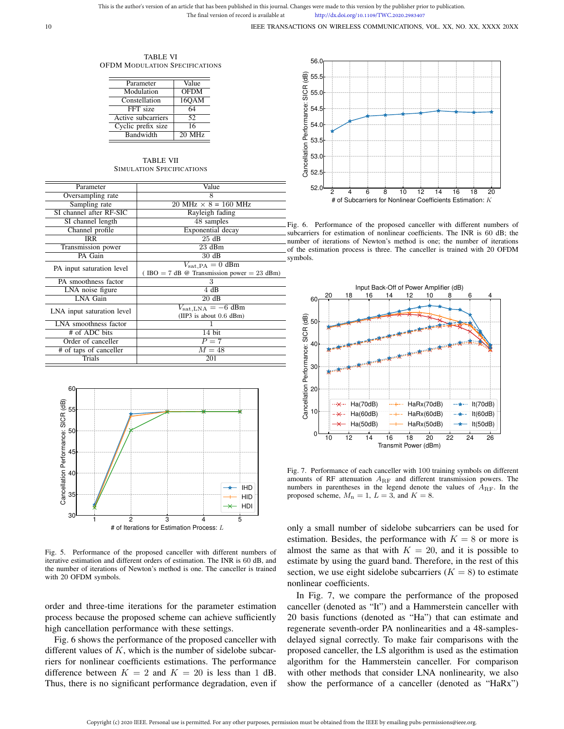10 **IEEE TRANSACTIONS ON WIRELESS COMMUNICATIONS, VOL. XX, NO. XX, XXXX 20XX** 

TABLE VI OFDM MODULATION SPECIFICATIONS

| Parameter          | Value       |
|--------------------|-------------|
| Modulation         | <b>OFDM</b> |
| Constellation      | 16QAM       |
| FFT size           | 64          |
| Active subcarriers | 52          |
| Cyclic prefix size | 16          |
| Bandwidth          | $20$ MHz    |
|                    |             |

#### TABLE VII SIMULATION SPECIFICATIONS

| Parameter                  | Value                                         |  |
|----------------------------|-----------------------------------------------|--|
| Oversampling rate          | 8                                             |  |
| Sampling rate              | 20 MHz $\times$ 8 = 160 MHz                   |  |
| SI channel after RF-SIC    | Rayleigh fading                               |  |
| SI channel length          | 48 samples                                    |  |
| Channel profile            | Exponential decay                             |  |
| IRR                        | $25 \text{ dB}$                               |  |
| Transmission power         | 23 dBm                                        |  |
| PA Gain                    | 30dB                                          |  |
| PA input saturation level  | $V_{\text{sat,PA}} = 0 \overline{\text{dBm}}$ |  |
|                            | (IBO = 7 dB @ Transmission power = 23 dBm)    |  |
| PA smoothness factor       | 3                                             |  |
| LNA noise figure           | 4 dB                                          |  |
| LNA Gain                   | 20dB                                          |  |
| LNA input saturation level | $V_{\text{sat,LNA}} = -6 \text{ dBm}$         |  |
|                            | (IIP3 is about 0.6 dBm)                       |  |
| LNA smoothness factor      |                                               |  |
| # of ADC bits              | $14$ bit                                      |  |
| Order of canceller         | $P=7$                                         |  |
| # of taps of canceller     | $M=48$                                        |  |
| Trials                     | 201                                           |  |



Fig. 5. Performance of the proposed canceller with different numbers of iterative estimation and different orders of estimation. The INR is 60 dB, and the number of iterations of Newton's method is one. The canceller is trained with 20 OFDM symbols.

order and three-time iterations for the parameter estimation process because the proposed scheme can achieve sufficiently high cancellation performance with these settings.

Fig. 6 shows the performance of the proposed canceller with different values of  $K$ , which is the number of sidelobe subcarriers for nonlinear coefficients estimations. The performance difference between  $K = 2$  and  $K = 20$  is less than 1 dB. Thus, there is no significant performance degradation, even if



Fig. 6. Performance of the proposed canceller with different numbers of subcarriers for estimation of nonlinear coefficients. The INR is 60 dB; the number of iterations of Newton's method is one; the number of iterations of the estimation process is three. The canceller is trained with 20 OFDM symbols.



Fig. 7. Performance of each canceller with 100 training symbols on different amounts of RF attenuation  $A_{\rm RF}$  and different transmission powers. The numbers in parentheses in the legend denote the values of  $A_{\rm RF}$ . In the proposed scheme,  $M_n = 1$ ,  $L = 3$ , and  $K = 8$ .

only a small number of sidelobe subcarriers can be used for estimation. Besides, the performance with  $K = 8$  or more is almost the same as that with  $K = 20$ , and it is possible to estimate by using the guard band. Therefore, in the rest of this section, we use eight sidelobe subcarriers  $(K = 8)$  to estimate nonlinear coefficients.

In Fig. 7, we compare the performance of the proposed canceller (denoted as "It") and a Hammerstein canceller with 20 basis functions (denoted as "Ha") that can estimate and regenerate seventh-order PA nonlinearities and a 48-samplesdelayed signal correctly. To make fair comparisons with the proposed canceller, the LS algorithm is used as the estimation algorithm for the Hammerstein canceller. For comparison with other methods that consider LNA nonlinearity, we also show the performance of a canceller (denoted as "HaRx")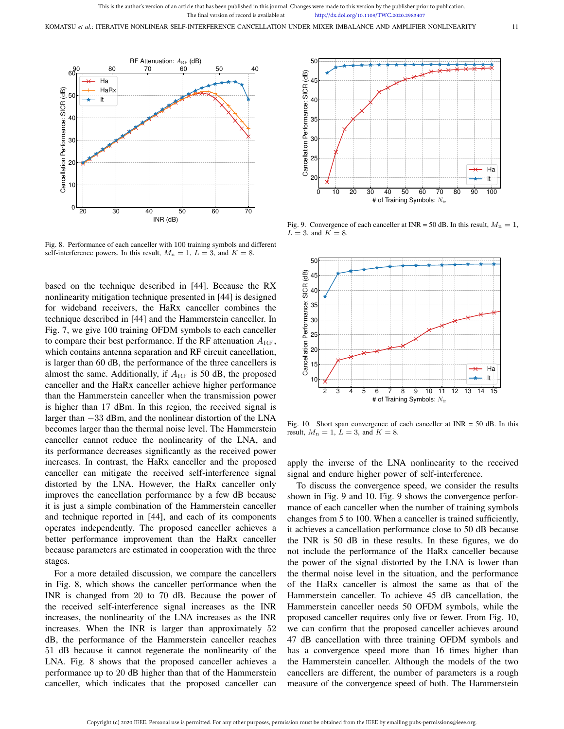

Fig. 8. Performance of each canceller with 100 training symbols and different self-interference powers. In this result,  $M_n = 1$ ,  $L = 3$ , and  $K = 8$ .

based on the technique described in [44]. Because the RX nonlinearity mitigation technique presented in [44] is designed for wideband receivers, the HaRx canceller combines the technique described in [44] and the Hammerstein canceller. In Fig. 7, we give 100 training OFDM symbols to each canceller to compare their best performance. If the RF attenuation  $A_{\rm RF}$ , which contains antenna separation and RF circuit cancellation, is larger than 60 dB, the performance of the three cancellers is almost the same. Additionally, if  $A_{\text{RF}}$  is 50 dB, the proposed canceller and the HaRx canceller achieve higher performance than the Hammerstein canceller when the transmission power is higher than 17 dBm. In this region, the received signal is larger than −33 dBm, and the nonlinear distortion of the LNA becomes larger than the thermal noise level. The Hammerstein canceller cannot reduce the nonlinearity of the LNA, and its performance decreases significantly as the received power increases. In contrast, the HaRx canceller and the proposed canceller can mitigate the received self-interference signal distorted by the LNA. However, the HaRx canceller only improves the cancellation performance by a few dB because it is just a simple combination of the Hammerstein canceller and technique reported in [44], and each of its components operates independently. The proposed canceller achieves a better performance improvement than the HaRx canceller because parameters are estimated in cooperation with the three stages.

For a more detailed discussion, we compare the cancellers in Fig. 8, which shows the canceller performance when the INR is changed from 20 to 70 dB. Because the power of the received self-interference signal increases as the INR increases, the nonlinearity of the LNA increases as the INR increases. When the INR is larger than approximately 52 dB, the performance of the Hammerstein canceller reaches 51 dB because it cannot regenerate the nonlinearity of the LNA. Fig. 8 shows that the proposed canceller achieves a performance up to 20 dB higher than that of the Hammerstein canceller, which indicates that the proposed canceller can



Fig. 9. Convergence of each canceller at INR = 50 dB. In this result,  $M_n = 1$ ,  $L = 3$ , and  $K = 8$ .



Fig. 10. Short span convergence of each canceller at INR = 50 dB. In this result,  $M_n = 1$ ,  $L = 3$ , and  $K = 8$ .

apply the inverse of the LNA nonlinearity to the received signal and endure higher power of self-interference.

To discuss the convergence speed, we consider the results shown in Fig. 9 and 10. Fig. 9 shows the convergence performance of each canceller when the number of training symbols changes from 5 to 100. When a canceller is trained sufficiently, it achieves a cancellation performance close to 50 dB because the INR is 50 dB in these results. In these figures, we do not include the performance of the HaRx canceller because the power of the signal distorted by the LNA is lower than the thermal noise level in the situation, and the performance of the HaRx canceller is almost the same as that of the Hammerstein canceller. To achieve 45 dB cancellation, the Hammerstein canceller needs 50 OFDM symbols, while the proposed canceller requires only five or fewer. From Fig. 10, we can confirm that the proposed canceller achieves around 47 dB cancellation with three training OFDM symbols and has a convergence speed more than 16 times higher than the Hammerstein canceller. Although the models of the two cancellers are different, the number of parameters is a rough measure of the convergence speed of both. The Hammerstein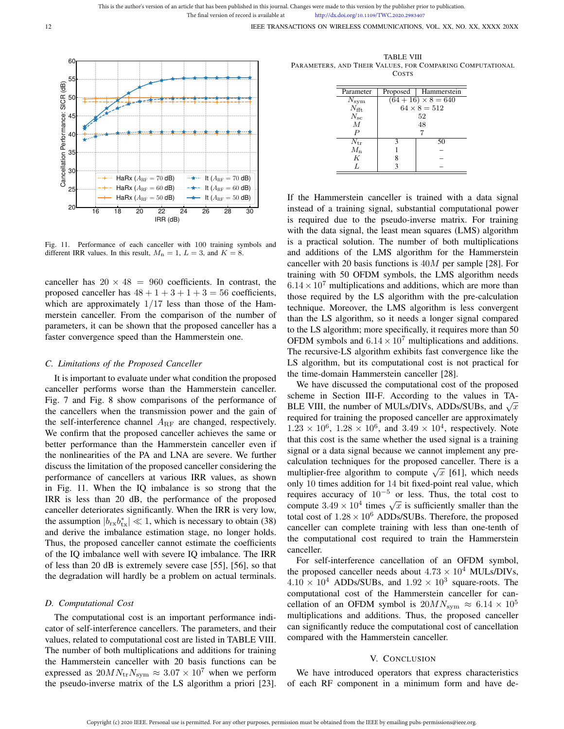

Fig. 11. Performance of each canceller with 100 training symbols and different IRR values. In this result,  $M_n = 1$ ,  $L = 3$ , and  $K = 8$ .

canceller has  $20 \times 48 = 960$  coefficients. In contrast, the proposed canceller has  $48 + 1 + 3 + 1 + 3 = 56$  coefficients, which are approximately  $1/17$  less than those of the Hammerstein canceller. From the comparison of the number of parameters, it can be shown that the proposed canceller has a faster convergence speed than the Hammerstein one.

#### *C. Limitations of the Proposed Canceller*

It is important to evaluate under what condition the proposed canceller performs worse than the Hammerstein canceller. Fig. 7 and Fig. 8 show comparisons of the performance of the cancellers when the transmission power and the gain of the self-interference channel  $A_{\rm RF}$  are changed, respectively. We confirm that the proposed canceller achieves the same or better performance than the Hammerstein canceller even if the nonlinearities of the PA and LNA are severe. We further discuss the limitation of the proposed canceller considering the performance of cancellers at various IRR values, as shown in Fig. 11. When the IQ imbalance is so strong that the IRR is less than 20 dB, the performance of the proposed canceller deteriorates significantly. When the IRR is very low, the assumption  $|b_{rx}b_{tx}^*| \ll 1$ , which is necessary to obtain (38) and derive the imbalance estimation stage, no longer holds. Thus, the proposed canceller cannot estimate the coefficients of the IQ imbalance well with severe IQ imbalance. The IRR of less than 20 dB is extremely severe case [55], [56], so that the degradation will hardly be a problem on actual terminals.

#### *D. Computational Cost*

The computational cost is an important performance indicator of self-interference cancellers. The parameters, and their values, related to computational cost are listed in TABLE VIII. The number of both multiplications and additions for training the Hammerstein canceller with 20 basis functions can be expressed as  $20MN_{\text{tr}}N_{\text{sym}} \approx 3.07 \times 10^7$  when we perform the pseudo-inverse matrix of the LS algorithm a priori [23].

TABLE VIII PARAMETERS, AND THEIR VALUES, FOR COMPARING COMPUTATIONAL COSTS

| Parameter     | Proposed                 | Hammerstein |  |
|---------------|--------------------------|-------------|--|
| $N_{sym}$     | $(64+16) \times 8 = 640$ |             |  |
| $N_{\rm fft}$ | $64 \times 8 = 512$      |             |  |
| $N_{\rm sc}$  | 52                       |             |  |
| M             | 48                       |             |  |
| P             |                          |             |  |
| $N_{\rm tr}$  | 50                       |             |  |
| $M_{\rm n}$   |                          |             |  |
| K             |                          |             |  |
| Τ.            |                          |             |  |

If the Hammerstein canceller is trained with a data signal instead of a training signal, substantial computational power is required due to the pseudo-inverse matrix. For training with the data signal, the least mean squares (LMS) algorithm is a practical solution. The number of both multiplications and additions of the LMS algorithm for the Hammerstein canceller with 20 basis functions is  $40M$  per sample [28]. For training with 50 OFDM symbols, the LMS algorithm needs  $6.14 \times 10^7$  multiplications and additions, which are more than those required by the LS algorithm with the pre-calculation technique. Moreover, the LMS algorithm is less convergent than the LS algorithm, so it needs a longer signal compared to the LS algorithm; more specifically, it requires more than 50 OFDM symbols and  $6.14 \times 10^7$  multiplications and additions. The recursive-LS algorithm exhibits fast convergence like the LS algorithm, but its computational cost is not practical for the time-domain Hammerstein canceller [28].

We have discussed the computational cost of the proposed scheme in Section III-F. According to the values in TA-SCHEINE IN SECTION TH-F. ACCORDING TO THE VALUES IN TABLE VIII, the number of MULs/DIVs, ADDs/SUBs, and  $\sqrt{x}$ required for training the proposed canceller are approximately  $1.23 \times 10^6$ ,  $1.28 \times 10^6$ , and  $3.49 \times 10^4$ , respectively. Note that this cost is the same whether the used signal is a training signal or a data signal because we cannot implement any precalculation techniques for the proposed canceller. There is a calculation techniques for the proposed canceller. There is a multiplier-free algorithm to compute  $\sqrt{x}$  [61], which needs only 10 times addition for 14 bit fixed-point real value, which requires accuracy of  $10^{-5}$  or less. Thus, the total cost to requires accuracy of 10 of less. Thus, the total cost to<br>compute  $3.49 \times 10^4$  times  $\sqrt{x}$  is sufficiently smaller than the total cost of  $1.28 \times 10^6$  ADDs/SUBs. Therefore, the proposed canceller can complete training with less than one-tenth of the computational cost required to train the Hammerstein canceller.

For self-interference cancellation of an OFDM symbol, the proposed canceller needs about  $4.73 \times 10^4$  MULs/DIVs,  $4.10 \times 10^4$  ADDs/SUBs, and  $1.92 \times 10^3$  square-roots. The computational cost of the Hammerstein canceller for cancellation of an OFDM symbol is  $20MN_{sym} \approx 6.14 \times 10^5$ multiplications and additions. Thus, the proposed canceller can significantly reduce the computational cost of cancellation compared with the Hammerstein canceller.

# V. CONCLUSION

We have introduced operators that express characteristics of each RF component in a minimum form and have de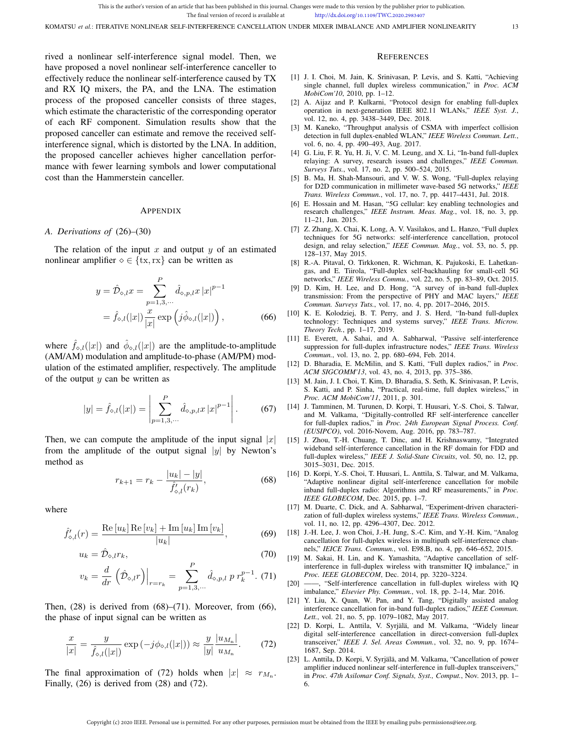rived a nonlinear self-interference signal model. Then, we have proposed a novel nonlinear self-interference canceller to effectively reduce the nonlinear self-interference caused by TX and RX IQ mixers, the PA, and the LNA. The estimation process of the proposed canceller consists of three stages, which estimate the characteristic of the corresponding operator of each RF component. Simulation results show that the proposed canceller can estimate and remove the received selfinterference signal, which is distorted by the LNA. In addition, the proposed canceller achieves higher cancellation performance with fewer learning symbols and lower computational cost than the Hammerstein canceller.

#### APPENDIX

## *A. Derivations of* (26)*–*(30)

The relation of the input x and output  $y$  of an estimated nonlinear amplifier  $\diamond \in \{tx, rx\}$  can be written as

$$
y = \hat{\mathcal{D}}_{\diamond, l} x = \sum_{p=1,3,\cdots}^{P} \hat{d}_{\diamond, p,l} x |x|^{p-1}
$$
  
=  $\hat{f}_{\diamond, l}(|x|) \frac{x}{|x|} \exp\left(j\hat{\phi}_{\diamond, l}(|x|)\right),$  (66)

where  $\hat{f}_{\diamond, l}(|x|)$  and  $\hat{\phi}_{\diamond, l}(|x|)$  are the amplitude-to-amplitude (AM/AM) modulation and amplitude-to-phase (AM/PM) modulation of the estimated amplifier, respectively. The amplitude of the output  $y$  can be written as

$$
|y| = \hat{f}_{\diamond, l}(|x|) = \left| \sum_{p=1,3,\cdots}^{P} \hat{d}_{\diamond, p, l} x |x|^{p-1} \right|.
$$
 (67)

Then, we can compute the amplitude of the input signal  $|x|$ from the amplitude of the output signal  $|y|$  by Newton's method as

$$
r_{k+1} = r_k - \frac{|u_k| - |y|}{\hat{f}'_{\diamond, l}(r_k)},
$$
\n(68)

where

$$
\hat{f}'_{\diamond, l}(r) = \frac{\text{Re}\left[u_k\right] \text{Re}\left[v_k\right] + \text{Im}\left[u_k\right] \text{Im}\left[v_k\right]}{|u_k|},\tag{69}
$$

$$
u_k = \hat{\mathcal{D}}_{\diamond, l} r_k,\tag{70}
$$

$$
v_k = \frac{d}{dr} \left( \hat{\mathcal{D}}_{\diamond, l} r \right) \Big|_{r=r_k} = \sum_{p=1,3,\cdots}^{P} \hat{d}_{\diamond, p, l} \ p \ r_k^{p-1} . \tag{71}
$$

Then,  $(28)$  is derived from  $(68)$ – $(71)$ . Moreover, from  $(66)$ , the phase of input signal can be written as

$$
\frac{x}{|x|} = \frac{y}{\hat{f}_{\diamond, l}(|x|)} \exp(-j\phi_{\diamond, l}(|x|)) \approx \frac{y}{|y|} \frac{|u_{M_n}|}{u_{M_n}}.
$$
 (72)

The final approximation of (72) holds when  $|x| \approx r_{M_n}$ . Finally, (26) is derived from (28) and (72).

#### **REFERENCES**

- [1] J. I. Choi, M. Jain, K. Srinivasan, P. Levis, and S. Katti, "Achieving single channel, full duplex wireless communication," in *Proc. ACM MobiCom'10*, 2010, pp. 1–12.
- [2] A. Aijaz and P. Kulkarni, "Protocol design for enabling full-duplex operation in next-generation IEEE 802.11 WLANs," *IEEE Syst. J.*, vol. 12, no. 4, pp. 3438–3449, Dec. 2018.
- [3] M. Kaneko, "Throughput analysis of CSMA with imperfect collision detection in full duplex-enabled WLAN," *IEEE Wireless Commun. Lett.*, vol. 6, no. 4, pp. 490–493, Aug. 2017.
- [4] G. Liu, F. R. Yu, H. Ji, V. C. M. Leung, and X. Li, "In-band full-duplex relaying: A survey, research issues and challenges," *IEEE Commun. Surveys Tuts.*, vol. 17, no. 2, pp. 500–524, 2015.
- [5] B. Ma, H. Shah-Mansouri, and V. W. S. Wong, "Full-duplex relaying for D2D communication in millimeter wave-based 5G networks," *IEEE Trans. Wireless Commun.*, vol. 17, no. 7, pp. 4417–4431, Jul. 2018.
- [6] E. Hossain and M. Hasan, "5G cellular: key enabling technologies and research challenges," *IEEE Instrum. Meas. Mag.*, vol. 18, no. 3, pp. 11–21, Jun. 2015.
- [7] Z. Zhang, X. Chai, K. Long, A. V. Vasilakos, and L. Hanzo, "Full duplex techniques for 5G networks: self-interference cancellation, protocol design, and relay selection," *IEEE Commun. Mag.*, vol. 53, no. 5, pp. 128–137, May 2015.
- [8] R.-A. Pitaval, O. Tirkkonen, R. Wichman, K. Pajukoski, E. Lahetkangas, and E. Tiirola, "Full-duplex self-backhauling for small-cell 5G networks," *IEEE Wireless Commu.*, vol. 22, no. 5, pp. 83–89, Oct. 2015.
- [9] D. Kim, H. Lee, and D. Hong, "A survey of in-band full-duplex transmission: From the perspective of PHY and MAC layers," *IEEE Commun. Surveys Tuts.*, vol. 17, no. 4, pp. 2017–2046, 2015.
- [10] K. E. Kolodziej, B. T. Perry, and J. S. Herd, "In-band full-duplex technology: Techniques and systems survey," *IEEE Trans. Microw. Theory Tech.*, pp. 1–17, 2019.
- [11] E. Everett, A. Sahai, and A. Sabharwal, "Passive self-interference suppression for full-duplex infrastructure nodes," *IEEE Trans. Wireless Commun.*, vol. 13, no. 2, pp. 680–694, Feb. 2014.
- [12] D. Bharadia, E. McMilin, and S. Katti, "Full duplex radios," in *Proc. ACM SIGCOMM'13*, vol. 43, no. 4, 2013, pp. 375–386.
- [13] M. Jain, J. I. Choi, T. Kim, D. Bharadia, S. Seth, K. Srinivasan, P. Levis, S. Katti, and P. Sinha, "Practical, real-time, full duplex wireless," in *Proc. ACM MobiCom'11*, 2011, p. 301.
- [14] J. Tamminen, M. Turunen, D. Korpi, T. Huusari, Y.-S. Choi, S. Talwar, and M. Valkama, "Digitally-controlled RF self-interference canceller for full-duplex radios," in *Proc. 24th European Signal Process. Conf. (EUSIPCO)*, vol. 2016-Novem, Aug. 2016, pp. 783–787.
- [15] J. Zhou, T.-H. Chuang, T. Dinc, and H. Krishnaswamy, "Integrated wideband self-interference cancellation in the RF domain for FDD and full-duplex wireless," *IEEE J. Solid-State Circuits*, vol. 50, no. 12, pp. 3015–3031, Dec. 2015.
- [16] D. Korpi, Y.-S. Choi, T. Huusari, L. Anttila, S. Talwar, and M. Valkama, "Adaptive nonlinear digital self-interference cancellation for mobile inband full-duplex radio: Algorithms and RF measurements," in *Proc. IEEE GLOBECOM*, Dec. 2015, pp. 1–7.
- [17] M. Duarte, C. Dick, and A. Sabharwal, "Experiment-driven characterization of full-duplex wireless systems," *IEEE Trans. Wireless Commun.*, vol. 11, no. 12, pp. 4296–4307, Dec. 2012.
- [18] J.-H. Lee, J. won Choi, J.-H. Jung, S.-C. Kim, and Y.-H. Kim, "Analog cancellation for full-duplex wireless in multipath self-interference channels," *IEICE Trans. Commun.*, vol. E98.B, no. 4, pp. 646–652, 2015.
- [19] M. Sakai, H. Lin, and K. Yamashita, "Adaptive cancellation of selfinterference in full-duplex wireless with transmitter IQ imbalance," in *Proc. IEEE GLOBECOM*, Dec. 2014, pp. 3220–3224.
- [20] ——, "Self-interference cancellation in full-duplex wireless with IQ imbalance," *Elsevier Phy. Commun.*, vol. 18, pp. 2–14, Mar. 2016.
- [21] Y. Liu, X. Quan, W. Pan, and Y. Tang, "Digitally assisted analog interference cancellation for in-band full-duplex radios," *IEEE Commun. Lett.*, vol. 21, no. 5, pp. 1079–1082, May 2017.
- [22] D. Korpi, L. Anttila, V. Syrjälä, and M. Valkama, "Widely linear digital self-interference cancellation in direct-conversion full-duplex transceiver," *IEEE J. Sel. Areas Commun.*, vol. 32, no. 9, pp. 1674– 1687, Sep. 2014.
- [23] L. Anttila, D. Korpi, V. Syrjälä, and M. Valkama, "Cancellation of power amplifier induced nonlinear self-interference in full-duplex transceivers," in *Proc. 47th Asilomar Conf. Signals, Syst., Comput.*, Nov. 2013, pp. 1– 6.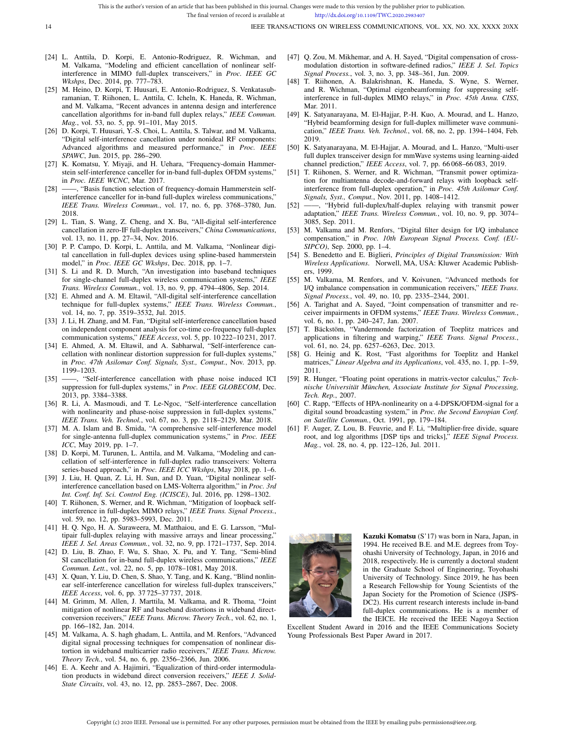The final version of record is available at http://dx.doi.org/10.1109/TWC.2020.2983407

- [24] L. Anttila, D. Korpi, E. Antonio-Rodriguez, R. Wichman, and M. Valkama, "Modeling and efficient cancellation of nonlinear selfinterference in MIMO full-duplex transceivers," in *Proc. IEEE GC Wkshps*, Dec. 2014, pp. 777–783.
- [25] M. Heino, D. Korpi, T. Huusari, E. Antonio-Rodriguez, S. Venkatasubramanian, T. Riihonen, L. Anttila, C. Icheln, K. Haneda, R. Wichman, and M. Valkama, "Recent advances in antenna design and interference cancellation algorithms for in-band full duplex relays," *IEEE Commun. Mag.*, vol. 53, no. 5, pp. 91–101, May 2015.
- [26] D. Korpi, T. Huusari, Y.-S. Choi, L. Anttila, S. Talwar, and M. Valkama, "Digital self-interference cancellation under nonideal RF components: Advanced algorithms and measured performance," in *Proc. IEEE SPAWC*, Jun. 2015, pp. 286–290.
- [27] K. Komatsu, Y. Miyaji, and H. Uehara, "Frequency-domain Hammerstein self-interference canceller for in-band full-duplex OFDM systems," in *Proc. IEEE WCNC*, Mar. 2017.
- [28] ——, "Basis function selection of frequency-domain Hammerstein selfinterference canceller for in-band full-duplex wireless communications," *IEEE Trans. Wireless Commun.*, vol. 17, no. 6, pp. 3768–3780, Jun. 2018.
- [29] L. Tian, S. Wang, Z. Cheng, and X. Bu, "All-digital self-interference cancellation in zero-IF full-duplex transceivers," *China Communications*, vol. 13, no. 11, pp. 27–34, Nov. 2016.
- [30] P. P. Campo, D. Korpi, L. Anttila, and M. Valkama, "Nonlinear digital cancellation in full-duplex devices using spline-based hammerstein model," in *Proc. IEEE GC Wkshps*, Dec. 2018, pp. 1–7.
- [31] S. Li and R. D. Murch, "An investigation into baseband techniques for single-channel full-duplex wireless communication systems," *IEEE Trans. Wireless Commun.*, vol. 13, no. 9, pp. 4794–4806, Sep. 2014.
- [32] E. Ahmed and A. M. Eltawil, "All-digital self-interference cancellation technique for full-duplex systems," *IEEE Trans. Wireless Commun.*, vol. 14, no. 7, pp. 3519–3532, Jul. 2015.
- [33] J. Li, H. Zhang, and M. Fan, "Digital self-interference cancellation based on independent component analysis for co-time co-frequency full-duplex communication systems," *IEEE Access*, vol. 5, pp. 10 222–10 231, 2017.
- [34] E. Ahmed, A. M. Eltawil, and A. Sabharwal, "Self-interference cancellation with nonlinear distortion suppression for full-duplex systems," in *Proc. 47th Asilomar Conf. Signals, Syst., Comput.*, Nov. 2013, pp. 1199–1203.
- [35] -, "Self-interference cancellation with phase noise induced ICI suppression for full-duplex systems," in *Proc. IEEE GLOBECOM*, Dec. 2013, pp. 3384–3388.
- [36] R. Li, A. Masmoudi, and T. Le-Ngoc, "Self-interference cancellation with nonlinearity and phase-noise suppression in full-duplex systems," *IEEE Trans. Veh. Technol.*, vol. 67, no. 3, pp. 2118–2129, Mar. 2018.
- [37] M. A. Islam and B. Smida, "A comprehensive self-interference model for single-antenna full-duplex communication systems," in *Proc. IEEE ICC*, May 2019, pp. 1–7.
- [38] D. Korpi, M. Turunen, L. Anttila, and M. Valkama, "Modeling and cancellation of self-interference in full-duplex radio transceivers: Volterra series-based approach," in *Proc. IEEE ICC Wkshps*, May 2018, pp. 1–6.
- [39] J. Liu, H. Quan, Z. Li, H. Sun, and D. Yuan, "Digital nonlinear selfinterference cancellation based on LMS-Volterra algorithm," in *Proc. 3rd Int. Conf. Inf. Sci. Control Eng. (ICISCE)*, Jul. 2016, pp. 1298–1302.
- [40] T. Riihonen, S. Werner, and R. Wichman, "Mitigation of loopback selfinterference in full-duplex MIMO relays," *IEEE Trans. Signal Process.*, vol. 59, no. 12, pp. 5983–5993, Dec. 2011.
- [41] H. Q. Ngo, H. A. Suraweera, M. Matthaiou, and E. G. Larsson, "Multipair full-duplex relaying with massive arrays and linear processing," *IEEE J. Sel. Areas Commun.*, vol. 32, no. 9, pp. 1721–1737, Sep. 2014.
- [42] D. Liu, B. Zhao, F. Wu, S. Shao, X. Pu, and Y. Tang, "Semi-blind SI cancellation for in-band full-duplex wireless communications," *IEEE Commun. Lett.*, vol. 22, no. 5, pp. 1078–1081, May 2018.
- [43] X. Quan, Y. Liu, D. Chen, S. Shao, Y. Tang, and K. Kang, "Blind nonlinear self-interference cancellation for wireless full-duplex transceivers," *IEEE Access*, vol. 6, pp. 37 725–37 737, 2018.
- [44] M. Grimm, M. Allen, J. Marttila, M. Valkama, and R. Thoma, "Joint mitigation of nonlinear RF and baseband distortions in wideband directconversion receivers," *IEEE Trans. Microw. Theory Tech.*, vol. 62, no. 1, pp. 166–182, Jan. 2014.
- [45] M. Valkama, A. S. hagh ghadam, L. Anttila, and M. Renfors, "Advanced" digital signal processing techniques for compensation of nonlinear distortion in wideband multicarrier radio receivers," *IEEE Trans. Microw. Theory Tech.*, vol. 54, no. 6, pp. 2356–2366, Jun. 2006.
- [46] E. A. Keehr and A. Hajimiri, "Equalization of third-order intermodulation products in wideband direct conversion receivers," *IEEE J. Solid-State Circuits*, vol. 43, no. 12, pp. 2853–2867, Dec. 2008.
- [47] Q. Zou, M. Mikhemar, and A. H. Sayed, "Digital compensation of crossmodulation distortion in software-defined radios," *IEEE J. Sel. Topics Signal Process.*, vol. 3, no. 3, pp. 348–361, Jun. 2009.
- [48] T. Riihonen, A. Balakrishnan, K. Haneda, S. Wyne, S. Werner, and R. Wichman, "Optimal eigenbeamforming for suppressing selfinterference in full-duplex MIMO relays," in *Proc. 45th Annu. CISS*, Mar. 2011.
- [49] K. Satyanarayana, M. El-Hajjar, P.-H. Kuo, A. Mourad, and L. Hanzo, "Hybrid beamforming design for full-duplex millimeter wave communication," *IEEE Trans. Veh. Technol.*, vol. 68, no. 2, pp. 1394–1404, Feb. 2019.
- [50] K. Satyanarayana, M. El-Hajjar, A. Mourad, and L. Hanzo, "Multi-user full duplex transceiver design for mmWave systems using learning-aided channel prediction," *IEEE Access*, vol. 7, pp. 66 068–66 083, 2019.
- [51] T. Riihonen, S. Werner, and R. Wichman, "Transmit power optimization for multiantenna decode-and-forward relays with loopback selfinterference from full-duplex operation," in *Proc. 45th Asilomar Conf. Signals, Syst., Comput.*, Nov. 2011, pp. 1408–1412.
- [52] ——, "Hybrid full-duplex/half-duplex relaying with transmit power adaptation," *IEEE Trans. Wireless Commun.*, vol. 10, no. 9, pp. 3074– 3085, Sep. 2011.
- [53] M. Valkama and M. Renfors, "Digital filter design for I/Q imbalance compensation," in *Proc. 10th European Signal Process. Conf. (EU-SIPCO)*, Sep. 2000, pp. 1–4.
- [54] S. Benedetto and E. Biglieri, *Principles of Digital Transmission: With Wireless Applications*. Norwell, MA, USA: Kluwer Academic Publishers, 1999.
- [55] M. Valkama, M. Renfors, and V. Koivunen, "Advanced methods for I/Q imbalance compensation in communication receivers," *IEEE Trans. Signal Process.*, vol. 49, no. 10, pp. 2335–2344, 2001.
- [56] A. Tarighat and A. Sayed, "Joint compensation of transmitter and receiver impairments in OFDM systems," *IEEE Trans. Wireless Commun.*, vol. 6, no. 1, pp. 240–247, Jan. 2007.
- [57] T. Backstom, "Vandermonde factorization of Toeplitz matrices and applications in filtering and warping," *IEEE Trans. Signal Process.*, vol. 61, no. 24, pp. 6257–6263, Dec. 2013.
- [58] G. Heinig and K. Rost, "Fast algorithms for Toeplitz and Hankel matrices," *Linear Algebra and its Applications*, vol. 435, no. 1, pp. 1–59, 2011.
- [59] R. Hunger, "Floating point operations in matrix-vector calculus," *Technische Universitat M ¨ unchen, Associate Institute for Signal Processing, ¨ Tech. Rep.*, 2007.
- [60] C. Rapp, "Effects of HPA-nonlinearity on a 4-DPSK/OFDM-signal for a digital sound broadcasting system," in *Proc. the Second Europian Conf. on Satellite Commun.*, Oct. 1991, pp. 179–184.
- [61] F. Auger, Z. Lou, B. Feuvrie, and F. Li, "Multiplier-free divide, square root, and log algorithms [DSP tips and tricks]," *IEEE Signal Process. Mag.*, vol. 28, no. 4, pp. 122–126, Jul. 2011.



Kazuki Komatsu (S'17) was born in Nara, Japan, in 1994. He received B.E. and M.E. degrees from Toyohashi University of Technology, Japan, in 2016 and 2018, respectively. He is currently a doctoral student in the Graduate School of Engineering, Toyohashi University of Technology. Since 2019, he has been a Research Fellowship for Young Scientists of the Japan Society for the Promotion of Science (JSPS-DC2). His current research interests include in-band full-duplex communications. He is a member of the IEICE. He received the IEEE Nagoya Section

Excellent Student Award in 2016 and the IEEE Communications Society Young Professionals Best Paper Award in 2017.